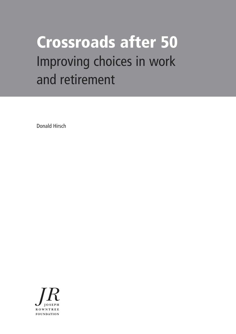# **Crossroads after 50** Improving choices in work and retirement

Donald Hirsch

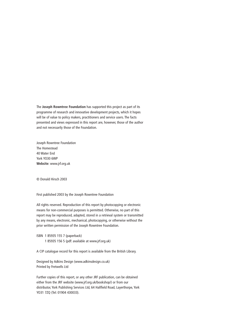The **Joseph Rowntree Foundation** has supported this project as part of its programme of research and innovative development projects, which it hopes will be of value to policy makers, practitioners and service users. The facts presented and views expressed in this report are, however, those of the author and not necessarily those of the Foundation.

Joseph Rowntree Foundation The Homestead 40 Water End York YO30 6WP **Website**: www.jrf.org.uk

© Donald Hirsch 2003

First published 2003 by the Joseph Rowntree Foundation

All rights reserved. Reproduction of this report by photocopying or electronic means for non-commercial purposes is permitted. Otherwise, no part of this report may be reproduced, adapted, stored in a retrieval system or transmitted by any means, electronic, mechanical, photocopying, or otherwise without the prior written permission of the Joseph Rowntree Foundation.

ISBN 1 85935 155 7 (paperback) 1 85935 156 5 (pdf: available at www.jrf.org.uk)

A CIP catalogue record for this report is available from the British Library.

Designed by Adkins Design (www.adkinsdesign.co.uk) Printed by Fretwells Ltd

Further copies of this report, or any other JRF publication, can be obtained either from the JRF website (www.jrf.org.uk/bookshop/) or from our distributor, York Publishing Services Ltd, 64 Hallfield Road, Layerthorpe, York YO31 7ZQ (Tel: 01904 430033).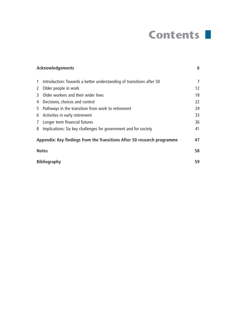# **Contents**

| <b>Acknowledgements</b>                                                 |                                                                      | 6                 |
|-------------------------------------------------------------------------|----------------------------------------------------------------------|-------------------|
|                                                                         |                                                                      |                   |
| $\mathbf{1}$                                                            | Introduction: Towards a better understanding of transitions after 50 | 7                 |
| $\mathbf{2}$                                                            | Older people in work                                                 | $12 \overline{ }$ |
| 3                                                                       | Older workers and their wider lives                                  | 18                |
| 4                                                                       | Decisions, choices and control                                       | 22                |
| 5                                                                       | Pathways in the transition from work to retirement                   | 29                |
| 6                                                                       | Activities in early retirement                                       | 33                |
| 7 <sup>1</sup>                                                          | Longer term financial futures                                        | 36                |
| 8                                                                       | Implications: Six key challenges for government and for society      | 41                |
| Appendix: Key findings from the Transitions After 50 research programme |                                                                      |                   |
| <b>Notes</b>                                                            |                                                                      | 58                |
| <b>Bibliography</b>                                                     |                                                                      | 59                |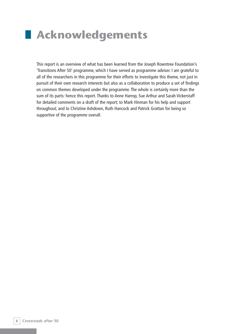# **Acknowledgements**

This report is an overview of what has been learned from the Joseph Rowntree Foundation's 'Transitions After 50' programme, which I have served as programme adviser. I am grateful to all of the researchers in this programme for their efforts to investigate this theme, not just in pursuit of their own research interests but also as a collaboration to produce a set of findings on common themes developed under the programme. The whole is certainly more than the sum of its parts: hence this report. Thanks to Anne Harrop, Sue Arthur and Sarah Vickerstaff for detailed comments on a draft of the report; to Mark Hinman for his help and support throughout; and to Christine Ashdown, Ruth Hancock and Patrick Grattan for being so supportive of the programme overall.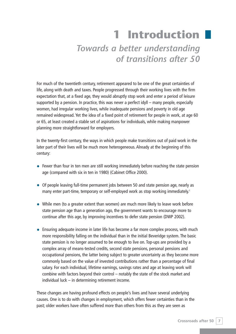# **1 Introduction**

# *Towards a better understanding of transitions after 50*

For much of the twentieth century, retirement appeared to be one of the great certainties of life, along with death and taxes. People progressed through their working lives with the firm expectation that, at a fixed age, they would abruptly stop work and enter a period of leisure supported by a pension. In practice, this was never a perfect idyll – many people, especially women, had irregular working lives, while inadequate pensions and poverty in old age remained widespread. Yet the idea of a fixed point of retirement for people in work, at age 60 or 65, at least created a stable set of aspirations for individuals, while making manpower planning more straightforward for employers.

In the twenty-first century, the ways in which people make transitions out of paid work in the later part of their lives will be much more heterogeneous. Already at the beginning of this century:

- Fewer than four in ten men are still working immediately before reaching the state pension age (compared with six in ten in 1980) (Cabinet Office 2000).
- Of people leaving full-time permanent jobs between 50 and state pension age, nearly as many enter part-time, temporary or self-employed work as stop working immediately.<sup>1</sup>
- While men (to a greater extent than women) are much more likely to leave work before state pension age than a generation ago, the government wants to encourage more to continue after this age, by improving incentives to defer state pension (DWP 2002).
- Ensuring adequate income in later life has become a far more complex process, with much more responsibility falling on the individual than in the initial Beveridge system. The basic state pension is no longer assumed to be enough to live on. Top-ups are provided by a complex array of means-tested credits, second state pensions, personal pensions and occupational pensions, the latter being subject to greater uncertainty as they become more commonly based on the value of invested contributions rather than a percentage of final salary. For each individual, lifetime earnings, savings rates and age at leaving work will combine with factors beyond their control – notably the state of the stock market and individual luck – in determining retirement income.

These changes are having profound effects on people's lives and have several underlying causes. One is to do with changes in employment, which offers fewer certainties than in the past; older workers have often suffered more than others from this as they are seen as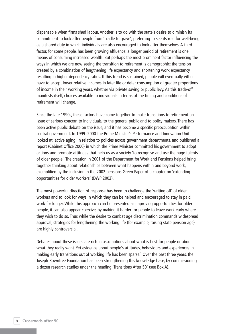dispensable when firms shed labour. Another is to do with the state's desire to diminish its commitment to look after people from 'cradle to grave', preferring to see its role for well-being as a shared duty in which individuals are also encouraged to look after themselves. A third factor, for some people, has been growing affluence: a longer period of retirement is one means of consuming increased wealth. But perhaps the most prominent factor influencing the ways in which we are now seeing the transition to retirement is demographic: the tension created by a combination of lengthening life expectancy and shortening work expectancy, resulting in higher dependency ratios. If this trend is sustained, people will eventually either have to accept lower relative incomes in later life or defer consumption of greater proportions of income in their working years, whether via private saving or public levy. As this trade-off manifests itself, choices available to individuals in terms of the timing and conditions of retirement will change.

Since the late 1990s, these factors have come together to make transitions to retirement an issue of serious concern to individuals, to the general public and to policy makers. There has been active public debate on the issue, and it has become a specific preoccupation within central government. In 1999–2000 the Prime Minister's Performance and Innovation Unit looked at 'active aging' in relation to policies across government departments, and published a report (Cabinet Office 2000) in which the Prime Minister committed his government to adopt actions and promote attitudes that help us as a society 'to recognise and use the huge talents of older people'. The creation in 2001 of the Department for Work and Pensions helped bring together thinking about relationships between what happens within and beyond work, exemplified by the inclusion in the 2002 pensions Green Paper of a chapter on 'extending opportunities for older workers' (DWP 2002).

The most powerful direction of response has been to challenge the 'writing off' of older workers and to look for ways in which they can be helped and encouraged to stay in paid work for longer. While this approach can be presented as improving opportunities for older people, it can also appear coercive, by making it harder for people to leave work early where they wish to do so. Thus while the desire to combat age discrimination commands widespread approval, strategies for lengthening the working life (for example, raising state pension age) are highly controversial.

Debates about these issues are rich in assumptions about what is best for people or about what they really want. Yet evidence about people's attitudes, behaviours and experiences in making early transitions out of working life has been sparse.<sup>2</sup> Over the past three years, the Joseph Rowntree Foundation has been strengthening this knowledge base, by commissioning a dozen research studies under the heading 'Transitions After 50' (see Box A).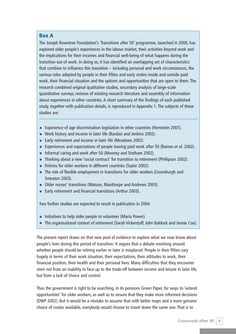#### **Box A**

The Joseph Rowntree Foundation's 'Transitions after 50' programme, launched in 2000, has explored older people's experiences in the labour market, their activities beyond work and the implications for their incomes and financial well-being of what happens during the transition out of work. In doing so, it has identified an overlapping set of characteristics that combine to influence this transition – including personal and work circumstances, the various roles adopted by people in their fifties and early sixties inside and outside paid work, their financial situation and the options and opportunities that are open to them. The research combined original qualitative studies, secondary analysis of large-scale quantitative surveys, reviews of existing research literature and assembly of information about experiences in other countries. A short summary of the findings of each published study, together with publication details, is reproduced in Appendix 1. The subjects of these studies are:

- Experience of age discrimination legislation in other countries (Hornstein 2001).
- Work history and income in later life (Bardasi and Jenkins 2002).
- Early retirement and income in later life (Meadows 2002)
- Experiences and expectations of people leaving paid work after 50 (Barnes et al. 2002).
- Informal caring and work after 50 (Mooney and Statham 2002).
- Thinking about a new 'social contract' for transition to retirement (Phillipson 2002).
- Policies for older workers in different countries (Taylor 2002).
- The role of flexible employment in transitions for older workers (Lissenburgh and Smeaton 2003).
- Older nurses' transitions (Watson, Manthorpe and Andrews 2003).
- Early retirement and financial transitions (Arthur 2003).

Two further studies are expected to result in publication in 2004:

- Initiatives to help older people to volunteer (Maria Power).
- The organisational context of retirement (Sarah Vickerstaff, John Baldock and Jennie Cox).

The present report draws on that new pool of evidence to explore what we now know about people's lives during this period of transition. It argues that a debate revolving around whether people should be retiring earlier or later is misplaced. People in their fifties vary hugely in terms of their work situation, their expectations, their attitudes to work, their financial position, their health and their personal lives. Many difficulties that they encounter stem not from an inability to face up to the trade-off between income and leisure in later life, but from a lack of choice and control.

Thus the government is right to be searching, in its pensions Green Paper, for ways to 'extend opportunities' for older workers, as well as to ensure that they make more informed decisions (DWP 2002). But it would be a mistake to assume that with better maps and a more genuine choice of routes available, everybody would choose to travel down the same one. That is to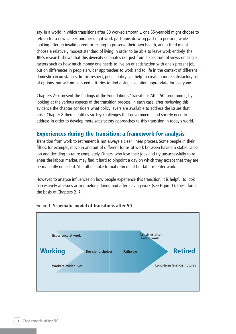say, in a world in which transitions after 50 worked smoothly, one 55-year-old might choose to retrain for a new career, another might work part-time, drawing part of a pension, while looking after an invalid parent or resting to preserve their own health, and a third might choose a relatively modest standard of living in order to be able to leave work entirely. The JRF's research shows that this diversity emanates not just from a spectrum of views on single factors such as how much money one needs to live on or satisfaction with one's present job, but on differences in people's wider approaches to work and to life in the context of different domestic circumstances. In this respect, public policy can help to create a more satisfactory set of options, but will not succeed if it tries to find a single solution appropriate for everyone.

Chapters 2–7 present the findings of the Foundation's 'Transitions After 50' programme, by looking at the various aspects of the transition process. In each case, after reviewing this evidence the chapter considers what policy levers are available to address the issues that arise. Chapter 8 then identifies six key challenges that governments and society need to address in order to develop more satisfactory approaches to this transition in today's world.

# **Experiences during the transition: a framework for analysis**

Transition from work to retirement is not always a clear, linear process. Some people in their fifties, for example, move in and out of different forms of work between having a stable career job and deciding to retire completely. Others, who lose their jobs and try unsuccessfully to reenter the labour market, may find it hard to pinpoint a day on which they accept that they are permanently outside it. Still others take formal retirement but later re-enter work.

However, to analyse influences on how people experience this transition, it is helpful to look successively at issues arising before, during and after leaving work (see Figure 1). These form the basis of Chapters 2–7.



#### Figure 1 **Schematic model of transitions after 50**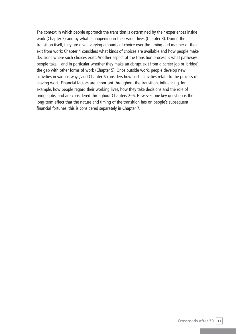The context in which people approach the transition is determined by their experiences inside work (Chapter 2) and by what is happening in their wider lives (Chapter 3). During the transition itself, they are given varying amounts of choice over the timing and manner of their exit from work; Chapter 4 considers what kinds of choices are available and how people make decisions where such choices exist. Another aspect of the transition process is what pathways people take – and in particular whether they make an abrupt exit from a career job or 'bridge' the gap with other forms of work (Chapter 5). Once outside work, people develop new activities in various ways, and Chapter 6 considers how such activities relate to the process of leaving work. Financial factors are important throughout the transition, influencing, for example, how people regard their working lives, how they take decisions and the role of bridge jobs, and are considered throughout Chapters 2–6. However, one key question is the long-term effect that the nature and timing of the transition has on people's subsequent financial fortunes: this is considered separately in Chapter 7.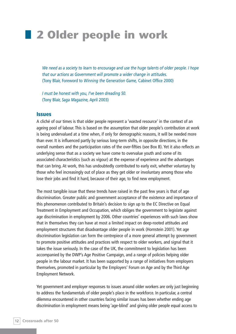# **2 Older people in work**

*We need as a society to learn to encourage and use the huge talents of older people. I hope that our actions as Government will promote a wider change in attitudes.* (Tony Blair, Foreword to *Winning the Generation Game,* Cabinet Office 2000)

*I must be honest with you, I've been dreading 50.* (Tony Blair, *Saga Magazine,* April 2003)

#### **Issues**

A cliché of our times is that older people represent a 'wasted resource' in the context of an ageing pool of labour. This is based on the assumption that older people's contribution at work is being undervalued at a time when, if only for demographic reasons, it will be needed more than ever. It is influenced partly by serious long-term shifts, in opposite directions, in the overall numbers and the participation rates of the over-fifties (see Box B). Yet it also reflects an underlying sense that as a society we have come to overvalue youth and some of its associated characteristics (such as vigour) at the expense of experience and the advantages that can bring. At work, this has undoubtedly contributed to early exit, whether voluntary by those who feel increasingly out of place as they get older or involuntary among those who lose their jobs and find it hard, because of their age, to find new employment.

The most tangible issue that these trends have raised in the past few years is that of age discrimination. Greater public and government acceptance of the existence and importance of this phenomenon contributed to Britain's decision to sign up to the EC Directive on Equal Treatment in Employment and Occupation, which obliges the government to legislate against age discrimination in employment by 2006. Other countries' experiences with such laws show that in themselves they can have at most a limited impact on deep-rooted attitudes and employment structures that disadvantage older people in work (Hornstein 2001). Yet age discrimination legislation can form the centrepiece of a more general attempt by government to promote positive attitudes and practices with respect to older workers, and signal that it takes the issue seriously. In the case of the UK, the commitment to legislation has been accompanied by the DWP's Age Positive Campaign, and a range of policies helping older people in the labour market. It has been supported by a range of initiatives from employers themselves, promoted in particular by the Employers' Forum on Age and by the Third Age Employment Network.

Yet government and employer responses to issues around older workers are only just beginning to address the fundamentals of older people's place in the workforce. In particular, a central dilemma encountered in other countries facing similar issues has been whether ending age discrimination in employment means being 'age-blind' and giving older people equal access to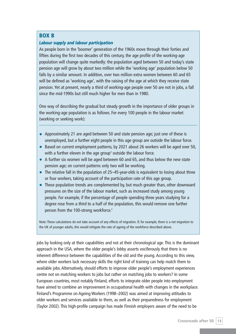#### **BOX B**

#### *Labour supply and labour participation*

As people born in the 'boomer' generation of the 1960s move through their forties and fifties during the first two decades of this century, the age profile of the working-age population will change quite markedly: the population aged between 50 and today's state pension age will grow by about two million while the 'working age' population below 50 falls by a similar amount. In addition, over two million extra women between 60 and 65 will be defined as 'working age', with the raising of the age at which they receive state pension. Yet at present, nearly a third of working-age people over 50 are not in jobs, a fall since the mid-1990s but still much higher for men than in 1980.

One way of describing the gradual but steady growth in the importance of older groups in the working-age population is as follows. For every 100 people in the labour market (working or seeking work):

- Approximately 21 are aged between 50 and state pension age; just one of these is unemployed, but a further eight people in this age group are outside the labour force.
- Based on current employment patterns, by 2021 about 26 workers will be aged over 50, with a further eleven in the age group<sup>3</sup> outside the labour force.
- A further six women will be aged between 60 and 65, and thus below the new state pension age; on current patterns only two will be working.
- The relative fall in the population of 25–45-year-olds is equivalent to losing about three or four workers, taking account of the participation rate of this age group.
- These population trends are complemented by, but much greater than, other downward pressures on the size of the labour market, such as increased study among young people. For example, if the percentage of people spending three years studying for a degree rose from a third to a half of the population, this would remove one further person from the 100-strong workforce.<sup>4</sup>

Note: These calculations do not take account of any effects of migration. If, for example, there is a net migration to the UK of younger adults, this would mitigate the rate of ageing of the workforce described above.

jobs by looking only at their capabilities and not at their chronological age. This is the dominant approach in the USA, where the older people's lobby asserts vociferously that there is no inherent difference between the capabilities of the old and the young. According to this view, where older workers lack necessary skills the right kind of training can help match them to available jobs. Alternatively, should efforts to improve older people's employment experiences centre not on matching workers to jobs but rather on matching jobs to workers? In some European countries, most notably Finland, efforts to integrate older people into employment have aimed to combine an improvement in occupational health with changes in the workplace. Finland's Programme on Ageing Workers (1998–2002) was aimed at improving attitudes to older workers and services available to them, as well as their preparedness for employment (Taylor 2002). This high-profile campaign has made Finnish employers aware of the need to be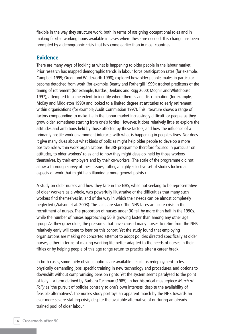flexible in the way they structure work, both in terms of assigning occupational roles and in making flexible working hours available in cases where these are needed. This change has been prompted by a demographic crisis that has come earlier than in most countries.

### **Evidence**

There are many ways of looking at what is happening to older people in the labour market. Prior research has mapped demographic trends in labour force participation rates (for example, Campbell 1999; Gregg and Wadsworth 1998); explored how older people, males in particular, become detached from work (for example, Beatty and Fothergill 1999); tracked predictors of the timing of retirement (for example, Bardasi, Jenkins and Rigg 2000; Meghir and Whitehouse 1997); attempted to some extent to identify where there is age discrimination (for example, McKay and Middleton 1998) and looked to a limited degree at attitudes to early retirement within organisations (for example, Audit Commission 1997). This literature shows a range of factors compounding to make life in the labour market increasingly difficult for people as they grow older, sometimes starting from one's forties. However, it does relatively little to explore the attitudes and ambitions held by those affected by these factors, and how the influence of a primarily hostile work environment interacts with what is happening in people's lives. Nor does it give many clues about what kinds of policies might help older people to develop a more positive role within work organisations. The JRF programme therefore focused in particular on attitudes, to older workers' roles and to how they might develop, held by those workers themselves, by their employers and by their co-workers. (The scale of the programme did not allow a thorough survey of these issues, rather, a highly selective set of studies looked at aspects of work that might help illuminate more general points.)

A study on older nurses and how they fare in the NHS, while not seeking to be representative of older workers as a whole, was powerfully illustrative of the difficulties that many such workers find themselves in, and of the way in which their needs can be almost completely neglected (Watson et al. 2003). The facts are stark. The NHS faces an acute crisis in the recruitment of nurses. The proportion of nurses under 30 fell by more than half in the 1990s, while the number of nurses approaching 50 is growing faster than among any other age group. As they grow older, the pressures that have caused many nurses to retire from the NHS relatively early will come to bear on this cohort. Yet the study found that employing organisations are making no concerted attempt to adopt policies directed specifically at older nurses, either in terms of making working life better adapted to the needs of nurses in their fifties or by helping people of this age range return to practice after a career break.

In both cases, some fairly obvious options are available – such as redeployment to less physically demanding jobs, specific training in new technology and procedures, and options to downshift without compromising pension rights. Yet the system seems paralysed to the point of folly – a term defined by Barbara Tuchman (1985), in her historical masterpiece *March of Folly* as 'the pursuit of policies contrary to one's own interests, despite the availability of feasible alternatives'. The nurses study portrays an apparent march by the NHS towards an ever more severe staffing crisis, despite the available alternative of nurturing an alreadytrained pool of older labour.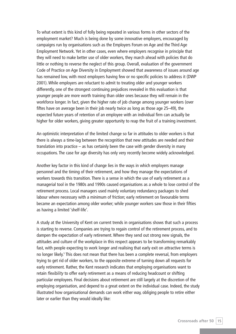To what extent is this kind of folly being repeated in various forms in other sectors of the employment market? Much is being done by some innovative employers, encouraged by campaigns run by organisations such as the Employers Forum on Age and the Third Age Employment Network. Yet in other cases, even where employers recognise in principle that they will need to make better use of older workers, they march ahead with policies that do little or nothing to reverse the neglect of this group. Overall, evaluation of the government Code of Practice on Age Diversity in Employment showed that awareness of issues around age has remained low, with most employers having few or no specific policies to address it (DWP 2001). While employers are reluctant to admit to treating older and younger workers differently, one of the strongest continuing prejudices revealed in this evaluation is that younger people are more worth training than older ones because they will remain in the workforce longer. In fact, given the higher rate of job change among younger workers (over fiftes have on average been in their job nearly twice as long as those age 25–49), the expected future years of retention of an employee with an individual firm can actually be higher for older workers, giving greater opportunity to reap the fruit of a training investment.

An optimistic interpretation of the limited change so far in attitudes to older workers is that there is always a time-lag between the recognition that new attitudes are needed and their translation into practice – as has certainly been the case with gender diversity in many occupations. The case for age diversity has only very recently become widely acknowledged.

Another key factor in this kind of change lies in the ways in which employers manage personnel and the timing of their retirement, and how they manage the expectations of workers towards this transition. There is a sense in which the use of early retirement as a managerial tool in the 1980s and 1990s caused organisations as a whole to lose control of the retirement process. Local managers used mainly voluntary redundancy packages to shed labour where necessary with a minimum of friction; early retirement on favourable terms became an expectation among older worker; while younger workers saw those in their fifties as having a limited 'shelf-life'.

A study at the University of Kent on current trends in organisations shows that such a process is starting to reverse. Companies are trying to regain control of the retirement process, and to dampen the expectation of early retirement. Where they send out strong new signals, the attitudes and culture of the workplace in this respect appears to be transforming remarkably fast, with people expecting to work longer and realising that early exit on attractive terms is no longer likely.<sup>5</sup> This does not mean that there has been a complete reversal, from employers trying to get rid of older workers, to the opposite extreme of turning down all requests for early retirement. Rather, the Kent research indicates that employing organisations want to retain *flexibility* to offer early retirement as a means of reducing headcount or shifting particular employees. Final decisions about retirement are still largely at the discretion of the employing organisation, and depend to a great extent on the individual case. Indeed, the study illustrated how organisational demands can work either way, obliging people to retire either later or earlier than they would ideally like: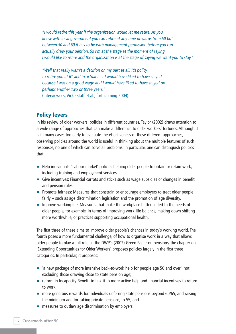*"I would retire this year if the organization would let me retire. As you know with local government you can retire at any time onwards from 50 but between 50 and 60 it has to be with management permission before you can actually draw your pension. So I'm at the stage at the moment of saying I would like to retire and the organization is at the stage of saying we want you to stay."*

*"Well that really wasn't a decision on my part at all. It's policy to retire you at 61 and in actual fact I would have liked to have stayed because I was on a good wage and I would have liked to have stayed on perhaps another two or three years."* (Interviewees, Vickerstaff et al., forthcoming 2004)

# **Policy levers**

In his review of older workers' policies in different countries, Taylor (2002) draws attention to a wide range of approaches that can make a difference to older workers' fortunes. Although it is in many cases too early to evaluate the effectiveness of these different approaches, observing policies around the world is useful in thinking about the multiple features of such responses, no one of which can solve all problems. In particular, one can distinguish policies that:

- Help individuals: 'Labour market' policies helping older people to obtain or retain work, including training and employment services.
- Give incentives: Financial carrots and sticks such as wage subsidies or changes in benefit and pension rules.
- Promote fairness: Measures that constrain or encourage employers to treat older people fairly – such as age discrimination legislation and the promotion of age diversity.
- Improve working life: Measures that make the workplace better suited to the needs of older people, for example, in terms of improving work-life balance, making down-shifting more worthwhile, or practices supporting occupational health.

The first three of these aims to improve older people's chances in today's working world. The fourth poses a more fundamental challenge, of how to organise work in a way that allows older people to play a full role. In the DWP's (2002) Green Paper on pensions, the chapter on 'Extending Opportunities for Older Workers' proposes policies largely in the first three categories. In particular, it proposes:

- 'a new package of more intensive back-to-work help for people age 50 and over', not excluding those drawing close to state pension age;
- reform in Incapacity Benefit to link it to more active help and financial incentives to return to work;
- more generous rewards for individuals deferring state pensions beyond 60/65, and raising the minimum age for taking private pensions, to 55; and
- measures to outlaw age discrimination by employers.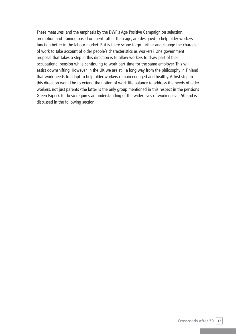These measures, and the emphasis by the DWP's Age Positive Campaign on selection, promotion and training based on merit rather than age, are designed to help older workers function better in the labour market. But is there scope to go further and change the character of work to take account of older people's characteristics as workers? One government proposal that takes a step in this direction is to allow workers to draw part of their occupational pension while continuing to work part-time for the same employer. This will assist downshifting. However, in the UK we are still a long way from the philosophy in Finland that work needs to adapt to help older workers remain engaged and healthy. A first step in this direction would be to extend the notion of work-life balance to address the needs of older workers, not just parents (the latter is the only group mentioned in this respect in the pensions Green Paper). To do so requires an understanding of the wider lives of workers over 50 and is discussed in the following section.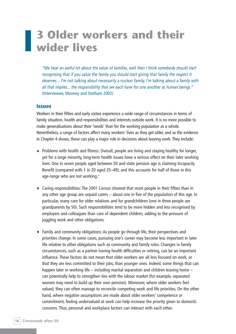# **3 Older workers and their wider lives**

*"We hear an awful lot about the value of families, well then I think somebody should start recognising that if you value the family you should start giving that family the respect it deserves… I'm not talking about necessarily a nuclear family, I'm talking about a family with all that implies... the responsibility that we each have for one another as human beings."*  (Interviewee, Mooney and Statham 2002)

#### **Issues**

Workers in their fifties and early sixties experience a wide range of circumstances in terms of family situation, health and responsibilities and interests outside work. It is no more possible to make generalisations about their 'needs' than for the working population as a whole. Nevertheless, a range of factors affect many workers' lives as they get older, and as the evidence in Chapter 4 shows, these can play a major role in decisions about leaving work. They include:

- Problems with health and fitness: Overall, people are living and staying healthy for longer, yet for a large minority, long-term health issues have a serious effect on their later working lives. One in seven people aged between 50 and state pension age is claiming Incapacity Benefit (compared with 1 in 20 aged 25–49), and this accounts for half of those in this age-range who are not working.<sup>6</sup>
- Caring responsibilities: The 2001 Census showed that more people in their fifties than in any other age group are unpaid carers – about one in five of the population of this age. In particular, many care for older relations and for grandchildren (one in three people are grandparents by 50). Such responsibilities tend to be more hidden and less recognised by employers and colleagues than care of dependent children, adding to the pressure of juggling work and other obligations.
- Family and community obligations: As people go through life, their perspectives and priorities change. In some cases, pursuing one's career may become less important in later life relative to other obligations such as community and family roles. Changes in family circumstances, such as a partner having health difficulties or retiring, can be an important influence. These factors do not mean that older workers are all less focused on work, or that they are less committed to their jobs, than younger ones. Indeed, some things that can happen later in working life – including marital separation and children leaving home – can potentially help to strengthen ties with the labour market (for example, separated women may need to build up their own pension). Moreover, where older workers feel valued, they can often manage to reconcile competing work and life priorities. On the other hand, where negative assumptions are made about older workers' competence or commitment, feeling undervalued at work can help increase the priority given to domestic concerns. Thus, personal and workplace factors can interact with each other.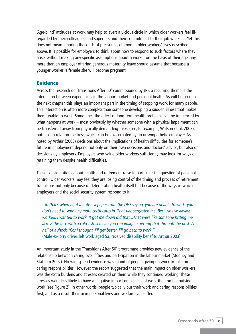'Age-blind' attitudes at work may help to avert a vicious circle in which older workers feel illregarded by their colleagues and superiors and their commitment to their job weakens. Yet this does not mean ignoring the kinds of pressures common in older workers' lives described above. It is possible for employers to think about how to respond to such factors where they arise, without making any specific assumptions about a worker on the basis of their age, any more than an employer offering generous maternity leave should assume that because a younger worker is female she will become pregnant.

### **Evidence**

Across the research on 'Transitions After 50' commissioned by JRF, a recurring theme is the interaction between experiences in the labour market and personal health. As will be seen in the next chapter, this plays an important part in the timing of stopping work for many people. This interaction is often more complex than someone developing a sudden illness that makes them unable to work. Sometimes the effect of long-term health problems can be influenced by what happens at work – most obviously by whether someone with a physical impairment can be transferred away from physically demanding tasks (see, for example, Watson et al. 2003), but also in relation to stress, which can be exacerbated by an unsympathetic employer. As noted by Arthur (2003) decisions about the implications of health difficulties for someone's future in employment depend not only on their own decisions and doctors' advice, but also on decisions by employers. Employers who value older workers sufficiently may look for ways of retaining them despite health difficulties.

These considerations about health and retirement raise in particular the question of personal control. Older workers may feel they are losing control of the timing and process of retirement transitions not only because of deteriorating health itself but because of the ways in which employers and the social security system respond to it:

*"So that's when I got a note – a paper from the DHS saying, you are unable to work, you don't need to send any more certificates in. That flabbergasted me. Because I've always worked. I wanted to work. It got me down did that…That were like someone hitting me across the face with a cold fish...I mean you can imagine getting that through the post. A hell of a shock. 'Cos I thought, I'll get better, I'll go back to work."* (Male ex-lorry driver, left work aged 53, received disability benefits, Arthur 2003)

An important study in the 'Transitions After 50' programme provides new evidence of the relationship between caring over fifties and participation in the labour market (Mooney and Statham 2002). No widespread evidence was found of people giving up work to take on caring responsibilities. However, the report suggested that the main impact on older workers was the extra burdens and stresses created on them while they continued working. These stresses were less likely to have a negative impact on aspects of work than on life outside work (see Figure 2). In other words, people typically put their work and caring responsibilities first, and as a result their own personal lives and welfare can suffer.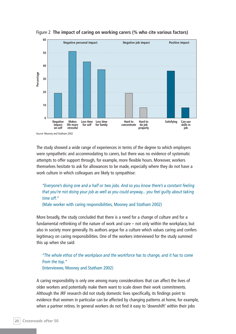



The study showed a wide range of experiences in terms of the degree to which employers were sympathetic and accommodating to carers, but there was no evidence of systematic attempts to offer support through, for example, more flexible hours. Moreover, workers themselves hesitate to ask for allowances to be made, especially where they do not have a work culture in which colleagues are likely to sympathise:

## *"Everyone's doing one and a half or two jobs. And so you know there's a constant feeling that you're not doing your job as well as you could anyway... you feel guilty about taking time off."*

(Male worker with caring responsibilities, Mooney and Statham 2002)

More broadly, the study concluded that there is a need for a change of culture and for a fundamental rethinking of the nature of work and care – not only within the workplace, but also in society more generally. Its authors argue for a culture which values caring and confers legitimacy on caring responsibilities. One of the workers interviewed for the study summed this up when she said:

#### *"The whole ethos of the workplace and the workforce has to change, and it has to come from the top."*  (Interviewee, Mooney and Statham 2002)

A caring responsibility is only one among many considerations that can affect the lives of older workers and potentially make them want to scale down their work commitments. Although the JRF research did not study domestic lives specifically, its findings point to evidence that women in particular can be affected by changing patterns at home, for example, when a partner retires. In general workers do not find it easy to 'downshift' within their jobs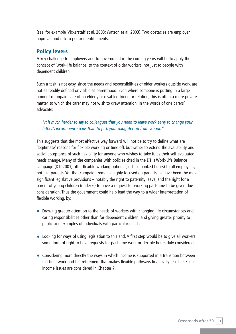(see, for example, Vickerstaff et al. 2003; Watson et al. 2003). Two obstacles are employer approval and risk to pension entitlements.

## **Policy levers**

A key challenge to employers and to government in the coming years will be to apply the concept of 'work-life balance' to the context of older workers, not just to people with dependent children.

Such a task is not easy, since the needs and responsibilities of older workers outside work are not as readily defined or visible as parenthood. Even where someone is putting in a large amount of unpaid care of an elderly or disabled friend or relation, this is often a more private matter, to which the carer may not wish to draw attention. In the words of one carers' advocate:

#### *"It is much harder to say to colleagues that you need to leave work early to change your father's incontinence pads than to pick your daughter up from school."7*

This suggests that the most effective way forward will not be to try to define what are 'legitimate' reasons for flexible working or time off, but rather to extend the availability and social acceptance of such flexibility for anyone who wishes to take it, as their self-evaluated needs change. Many of the companies with policies cited in the DTI's Work-Life Balance campaign (DTI 2003) offer flexible working options (such as banked hours) to all employees, not just parents. Yet that campaign remains highly focused on parents, as have been the most significant legislative provisions – notably the right to paternity leave, and the right for a parent of young children (under 6) to have a request for working part-time to be given due consideration. Thus the government could help lead the way to a wider interpretation of flexible working, by:

- Drawing greater attention to the needs of workers with changing life circumstances and caring responsibilities other than for dependent children, and giving greater priority to publicising examples of individuals with particular needs.
- Looking for ways of using legislation to this end. A first step would be to give all workers some form of right to have requests for part-time work or flexible hours duly considered.
- Considering more directly the ways in which income is supported in a transition between full-time work and full retirement that makes flexible pathways financially feasible. Such income issues are considered in Chapter 7.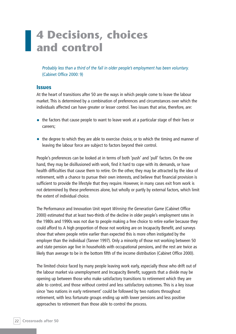# **4 Decisions, choices and control**

*Probably less than a third of the fall in older people's employment has been voluntary.* (Cabinet Office 2000: 9)

#### **Issues**

At the heart of transitions after 50 are the ways in which people come to leave the labour market. This is determined by a combination of preferences and circumstances over which the individuals affected can have greater or lesser control. Two issues that arise, therefore, are:

- the factors that cause people to want to leave work at a particular stage of their lives or careers;
- the degree to which they are able to exercise choice, or to which the timing and manner of leaving the labour force are subject to factors beyond their control.

People's preferences can be looked at in terms of both 'push' and 'pull' factors. On the one hand, they may be disillusioned with work, find it hard to cope with its demands, or have health difficulties that cause them to retire. On the other, they may be attracted by the idea of retirement, with a chance to pursue their own interests, and believe that financial provision is sufficient to provide the lifestyle that they require. However, in many cases exit from work is not determined by these preferences alone, but wholly or partly by external factors, which limit the extent of individual choice.

The Performance and Innovation Unit report *Winning the Generation Game* (Cabinet Office 2000) estimated that at least two-thirds of the decline in older people's employment rates in the 1980s and 1990s was not due to people making a free choice to retire earlier because they could afford to. A high proportion of those not working are on Incapacity Benefit, and surveys show that where people retire earlier than expected this is more often instigated by the employer than the individual (Tanner 1997). Only a minority of those not working between 50 and state pension age live in households with occupational pensions, and the rest are twice as likely than average to be in the bottom fifth of the income distribution (Cabinet Office 2000).

The limited choice faced by many people leaving work early, especially those who drift out of the labour market via unemployment and Incapacity Benefit, suggests that a divide may be opening up between those who make satisfactory transitions to retirement which they are able to control, and those without control and less satisfactory outcomes. This is a key issue since 'two nations in early retirement' could be followed by two nations throughout retirement, with less fortunate groups ending up with lower pensions and less positive approaches to retirement than those able to control the process.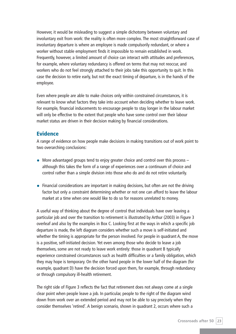However, it would be misleading to suggest a simple dichotomy between voluntary and involuntary exit from work: the reality is often more complex. The most straightforward case of involuntary departure is where an employee is made compulsorily redundant, or where a worker without stable employment finds it impossible to remain established in work. Frequently, however, a limited amount of choice can interact with attitudes and preferences, for example, where voluntary redundancy is offered on terms that may not reoccur, and workers who do not feel strongly attached to their jobs take this opportunity to quit. In this case the decision to retire early, but not the exact timing of departure, is in the hands of the employee.

Even where people are able to make choices only within constrained circumstances, it is relevant to know what factors they take into account when deciding whether to leave work. For example, financial inducements to encourage people to stay longer in the labour market will only be effective to the extent that people who have some control over their labour market status are driven in their decision making by financial considerations.

#### **Evidence**

A range of evidence on how people make decisions in making transitions out of work point to two overarching conclusions:

- More advantaged groups tend to enjoy greater choice and control over this process although this takes the form of a range of experiences over a continuum of choice and control rather than a simple division into those who do and do not retire voluntarily.
- Financial considerations are important in making decisions, but often are not the driving factor but only a constraint determining whether or not one can afford to leave the labour market at a time when one would like to do so for reasons unrelated to money.

A useful way of thinking about the degree of control that individuals have over leaving a particular job and over the transition to retirement is illustrated by Arthur (2003) in Figure 3 overleaf and also by the examples in Box C. Looking first at the ways in which a specific job departure is made, the left diagram considers whether such a move is self-initiated and whether the timing is appropriate for the person involved. For people in quadrant A, the move is a positive, self-initiated decision. Yet even among those who decide to leave a job themselves, some are not ready to leave work entirely: those in quadrant B typically experience constrained circumstances such as health difficulties or a family obligation, which they may hope is temporary. On the other hand people in the lower half of the diagram (for example, quadrant D) have the decision forced upon them, for example, through redundancy or through compulsory ill-health retirement.

The right side of Figure 3 reflects the fact that retirement does not always come at a single clear point when people leave a job. In particular, people to the right of the diagram wind down from work over an extended period and may not be able to say precisely when they consider themselves 'retired'. A benign scenario, shown in quadrant 2, occurs where such a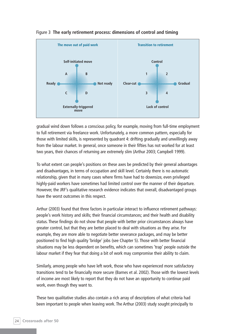

Figure 3 **The early retirement process: dimensions of control and timing**

gradual wind down follows a conscious policy, for example, moving from full-time employment to full retirement via freelance work. Unfortunately, a more common pattern, especially for those with limited skills, is represented by quadrant 4: drifting gradually and unwillingly away from the labour market. In general, once someone in their fifties has not worked for at least two years, their chances of returning are extremely slim (Arthur 2003; Campbell 1999).

To what extent can people's positions on these axes be predicted by their general advantages and disadvantages, in terms of occupation and skill level. Certainly there is no automatic relationship, given that in many cases where firms have had to downsize, even privileged highly-paid workers have sometimes had limited control over the manner of their departure. However, the JRF's qualitative research evidence indicates that overall, disadvantaged groups have the worst outcomes in this respect.

Arthur (2003) found that three factors in particular interact to influence retirement pathways: people's work history and skills; their financial circumstances; and their health and disability status. These findings do not show that people with better prior circumstances always have greater control, but that they are better placed to deal with situations as they arise. For example, they are more able to negotiate better severance packages, and may be better positioned to find high quality 'bridge' jobs (see Chapter 5). Those with better financial situations may be less dependent on benefits, which can sometimes 'trap' people outside the labour market if they fear that doing a bit of work may compromise their ability to claim.

Similarly, among people who have left work, those who have experienced more satisfactory transitions tend to be financially more secure (Barnes et al. 2002). Those with the lowest levels of income are most likely to report that they do not have an opportunity to continue paid work, even though they want to.

These two qualitative studies also contain a rich array of descriptions of what criteria had been important to people when leaving work. The Arthur (2003) study sought principally to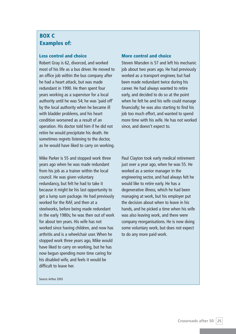# **BOX C Examples of:**

#### **Less control and choice**

Robert Gray is 62, divorced, and worked most of his life as a bus driver. He moved to an office job within the bus company after he had a heart attack, but was made redundant in 1990. He then spent four years working as a supervisor for a local authority until he was 54; he was 'paid off' by the local authority when he became ill with bladder problems, and his heart condition worsened as a result of an operation. His doctor told him if he did not retire he would precipitate his death. He sometimes regrets listening to the doctor, as he would have liked to carry on working.

Mike Parker is 55 and stopped work three years ago when he was made redundant from his job as a trainer within the local council. He was given voluntary redundancy, but felt he had to take it because it might be his last opportunity to get a lump sum package. He had previously worked for the RAF, and then at a steelworks, before being made redundant in the early 1980s; he was then out of work for about ten years. His wife has not worked since having children, and now has arthritis and is a wheelchair user. When he stopped work three years ago, Mike would have liked to carry on working, but he has now begun spending more time caring for his disabled wife, and feels it would be difficult to leave her.

#### **More control and choice**

Steven Marsden is 57 and left his mechanic job about two years ago. He had previously worked as a transport engineer, but had been made redundant twice during his career. He had always wanted to retire early, and decided to do so at the point when he felt he and his wife could manage financially; he was also starting to find his job too much effort, and wanted to spend more time with his wife. He has not worked since, and doesn't expect to.

Paul Clayton took early medical retirement just over a year ago, when he was 55. He worked as a senior manager in the engineering sector, and had always felt he would like to retire early. He has a degenerative illness, which he had been managing at work, but his employer put the decision about when to leave in his hands, and he picked a time when his wife was also leaving work, and there were company reorganisations. He is now doing some voluntary work, but does not expect to do any more paid work.

Source: Arthur 2003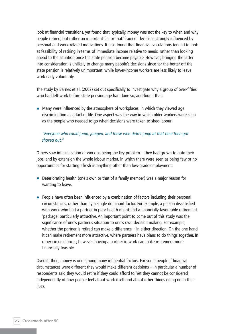look at financial transitions, yet found that, typically, money was not the key to when and why people retired, but rather an important factor that 'framed' decisions strongly influenced by personal and work-related motivations. It also found that financial calculations tended to look at feasibility of retiring in terms of immediate income relative to needs, rather than looking ahead to the situation once the state pension became payable. However, bringing the latter into consideration is unlikely to change many people's decisions since for the better-off the state pension is relatively unimportant, while lower-income workers are less likely to leave work early voluntarily.

The study by Barnes et al. (2002) set out specifically to investigate why a group of over-fifties who had left work before state pension age had done so, and found that:

• Many were influenced by the atmosphere of workplaces, in which they viewed age discrimination as a fact of life. One aspect was the way in which older workers were seen as the people who needed to go when decisions were taken to shed labour:

#### *"Everyone who could jump, jumped, and those who didn't jump at that time then got shoved out."*

Others saw intensification of work as being the key problem – they had grown to hate their jobs, and by extension the whole labour market, in which there were seen as being few or no opportunities for starting afresh in anything other than low-grade employment.

- Deteriorating health (one's own or that of a family member) was a major reason for wanting to leave.
- People have often been influenced by a combination of factors including their personal circumstances, rather than by a single dominant factor. For example, a person dissatisfied with work who had a partner in poor health might find a financially favourable retirement 'package' particularly attractive. An important point to come out of this study was the significance of one's partner's situation to one's own decision making. For example, whether the partner is retired can make a difference – in either direction. On the one hand it can make retirement more attractive, where partners have plans to do things together. In other circumstances, however, having a partner in work can make retirement more financially feasible.

Overall, then, money is one among many influential factors. For some people if financial circumstances were different they would make different decisions – in particular a number of respondents said they would retire if they could afford to. Yet they cannot be considered independently of how people feel about work itself and about other things going on in their lives.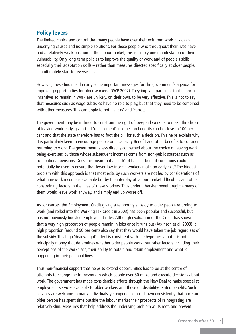## **Policy levers**

The limited choice and control that many people have over their exit from work has deep underlying causes and no simple solutions. For those people who throughout their lives have had a relatively weak position in the labour market, this is simply one manifestation of their vulnerability. Only long-term policies to improve the quality of work and of people's skills – especially their adaptation skills – rather than measures directed specifically at older people, can ultimately start to reverse this.

However, these findings do carry some important messages for the government's agenda for improving opportunities for older workers (DWP 2002). They imply in particular that financial incentives to remain in work are unlikely, on their own, to be very effective. This is not to say that measures such as wage subsidies have no role to play, but that they need to be combined with other measures. This can apply to both 'sticks' and 'carrots'.

The government may be inclined to constrain the right of low-paid workers to make the choice of leaving work early, given that 'replacement' incomes on benefits can be close to 100 per cent and that the state therefore has to foot the bill for such a decision. This helps explain why it is particularly keen to encourage people on Incapacity Benefit and other benefits to consider returning to work. The government is less directly concerned about the choice of leaving work being exercised by those whose subsequent incomes come from non-public sources such as occupational pensions. Does this mean that a 'stick' of harsher benefit conditions could potentially be used to ensure that fewer low-income workers make an early exit? The biggest problem with this approach is that most exits by such workers are not led by considerations of what non-work income is available but by the interplay of labour market difficulties and other constraining factors in the lives of these workers. Thus under a harsher benefit regime many of them would leave work anyway, and simply end up worse off.

As for carrots, the Employment Credit giving a temporary subsidy to older people returning to work (and rolled into the Working Tax Credit in 2003) has been popular and successful, but has not obviously boosted employment rates. Although evaluation of the Credit has shown that a very high proportion of people remain in jobs once it runs out (Atkinson et al. 2003), a high proportion (around 90 per cent) also say that they would have taken the job regardless of the subsidy. This high 'deadweight' effect is consistent with the hypothesis that it is not principally money that determines whether older people work, but other factors including their perceptions of the workplace, their ability to obtain and retain employment and what is happening in their personal lives.

Thus non-financial support that helps to extend opportunities has to be at the centre of attempts to change the framework in which people over 50 make and execute decisions about work. The government has made considerable efforts through the New Deal to make specialist employment services available to older workers and those on disability-related benefits. Such services are welcome to many individuals, yet experience has shown consistently that once an older person has spent time outside the labour market their prospects of reintegrating are relatively slim. Measures that help address the underlying problem at its root, and prevent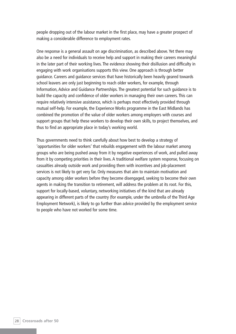people dropping out of the labour market in the first place, may have a greater prospect of making a considerable difference to employment rates.

One response is a general assault on age discrimination, as described above. Yet there may also be a need for individuals to receive help and support in making their careers meaningful in the later part of their working lives. The evidence showing their disillusion and difficulty in engaging with work organisations supports this view. One approach is through better guidance. Careers and guidance services that have historically been heavily geared towards school leavers are only just beginning to reach older workers, for example, through Information, Advice and Guidance Partnerships. The greatest potential for such guidance is to build the capacity and confidence of older workers in managing their own careers. This can require relatively intensive assistance, which is perhaps most effectively provided through mutual self-help. For example, the Experience Works programme in the East Midlands has combined the promotion of the value of older workers among employers with courses and support groups that help these workers to develop their own skills, to project themselves, and thus to find an appropriate place in today's working world.

Thus governments need to think carefully about how best to develop a strategy of 'opportunities for older workers' that rebuilds engagement with the labour market among groups who are being pushed away from it by negative experiences of work, and pulled away from it by competing priorities in their lives. A traditional welfare system response, focusing on casualties already outside work and providing them with incentives and job-placement services is not likely to get very far. Only measures that aim to maintain motivation and capacity among older workers before they become disengaged, seeking to become their own agents in making the transition to retirement, will address the problem at its root. For this, support for locally-based, voluntary, networking initiatives of the kind that are already appearing in different parts of the country (for example, under the umbrella of the Third Age Employment Network), is likely to go further than advice provided by the employment service to people who have not worked for some time.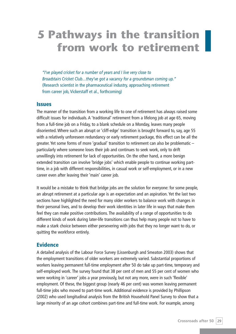# **5 Pathways in the transition from work to retirement**

*"I've played cricket for a number of years and I live very close to Broadstairs Cricket Club…they've got a vacancy for a groundsman coming up."*  (Research scientist in the pharmaceutical industry, approaching retirement from career job, Vickerstaff et al., forthcoming)

#### **Issues**

The manner of the transition from a working life to one of retirement has always raised some difficult issues for individuals. A 'traditional' retirement from a lifelong job at age 65, moving from a full-time job on a Friday, to a blank schedule on a Monday, leaves many people disoriented. Where such an abrupt or 'cliff-edge' transition is brought forward to, say, age 55 with a relatively unforeseen redundancy or early retirement package, this effect can be all the greater. Yet some forms of more 'gradual' transition to retirement can also be problematic – particularly where someone loses their job and continues to seek work, only to drift unwillingly into retirement for lack of opportunities. On the other hand, a more benign extended transition can involve 'bridge jobs' which enable people to continue working parttime, in a job with different responsibilities, in casual work or self-employment, or in a new career even after leaving their 'main' career job.

It would be a mistake to think that bridge jobs are the solution for everyone: for some people, an abrupt retirement at a particular age is an expectation and an aspiration. Yet the last two sections have highlighted the need for many older workers to balance work with changes in their personal lives, and to develop their work identities in later life in ways that make them feel they can make positive contributions. The availability of a range of opportunities to do different kinds of work during later-life transitions can thus help many people not to have to make a stark choice between either persevering with jobs that they no longer want to do, or quitting the workforce entirely.

#### **Evidence**

A detailed analysis of the Labour Force Survey (Lissenburgh and Smeaton 2003) shows that the employment transitions of older workers are extremely varied. Substantial proportions of workers leaving permanent full-time employment after 50 do take up part-time, temporary and self-employed work. The survey found that 38 per cent of men and 55 per cent of women who were working in 'career' jobs a year previously, but not any more, were in such 'flexible' employment. Of these, the biggest group (nearly 46 per cent) was women leaving permanent full-time jobs who moved to part-time work. Additional evidence is provided by Phillipson (2002) who used longitudinal analysis from the British Household Panel Survey to show that a large minority of an age cohort combines part-time and full-time work. For example, among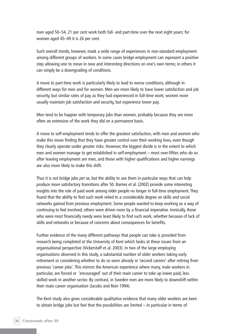men aged 50–54, 21 per cent work both full- and part-time over the next eight years; for women aged 45–49 it is 26 per cent.

Such overall trends, however, mask a wide range of experiences in non-standard employment among different groups of workers. In some cases bridge employment can represent a positive step allowing one to move in new and interesting directions on one's own terms; in others it can simply be a downgrading of conditions.

A move to part-time work is particularly likely to lead to worse conditions, although in different ways for men and for women. Men are more likely to have lower satisfaction and job security, but similar rates of pay as they had experienced in full-time work; women more usually maintain job satisfaction and security, but experience lower pay.

Men tend to be happier with temporary jobs than women, probably because they are more often an extension of the work they did on a permanent basis.

A move to self-employment tends to offer the greatest satisfaction, with men and women who make this move finding that they have greater control over their working lives, even though they clearly operate under greater risks. However, the biggest divide is in the extent to which men and women manage to get established in self-employment – most over-fifties who do so after leaving employment are men, and those with higher qualifications and higher earnings are also more likely to make this shift.

Thus it is not bridge jobs *per se,* but the ability to use them in particular ways that can help produce more satisfactory transitions after 50. Barnes et al. (2002) provide some interesting insights into the role of paid work among older people no longer in full-time employment. They found that the ability to find such work relied to a considerable degree on skills and social networks gained from previous employment. Some people wanted to keep working as a way of continuing to feel involved; others were driven more by a financial imperative. Ironically, those who were most financially needy were least likely to find such work, whether because of lack of skills and networks or because of concerns about consequences for benefits.

Further evidence of the many different pathways that people can take is provided from research being completed at the University of Kent which looks at these issues from an organisational perspective (Vickerstaff et al. 2003). In two of the large employing organisations observed in this study, a substantial number of older workers taking early retirement or considering whether to do so were already in 'second careers' after retiring from previous 'career jobs'. This mirrors the American experience where many, male workers in particular, are forced or 'encouraged' out of their main career to take up lower paid, less skilled work in another sector. By contrast, in Sweden men are more likely to downshift within their main career organisation (Jacobs and Rein 1994).

The Kent study also gives considerable qualitative evidence that many older workers are keen to obtain bridge jobs but feel that the possibilities are limited  $-$  in particular in terms of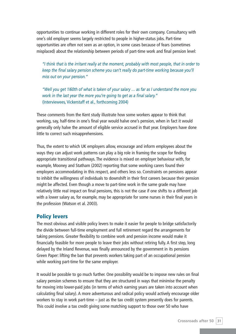opportunities to continue working in different roles for their own company. Consultancy with one's old employer seems largely restricted to people in higher-status jobs. Part-time opportunities are often not seen as an option, in some cases because of fears (sometimes misplaced) about the relationship between periods of part-time work and final pension level:

*"I think that is the irritant really at the moment, probably with most people, that in order to keep the final salary pension scheme you can't really do part-time working because you'll miss out on your pension."*

*"Well you get 1/60th of what is taken of your salary … as far as I understand the more you work in the last year the more you're going to get as a final salary."* (Interviewees, Vickerstaff et al., forthcoming 2004)

These comments from the Kent study illustrate how some workers appear to think that working, say, half-time in one's final year would halve one's pension, when in fact it would generally only halve the amount of eligible service accrued in that year. Employers have done little to correct such misapprehensions.

Thus, the extent to which UK employers allow, encourage and inform employees about the ways they can adjust work patterns can play a big role in framing the scope for finding appropriate transitional pathways. The evidence is mixed on employer behaviour with, for example, Mooney and Statham (2002) reporting that some working carers found their employers accommodating in this respect, and others less so. Constraints on pensions appear to inhibit the willingness of individuals to downshift in their first careers because their pension might be affected. Even though a move to part-time work in the same grade may have relatively little real impact on final pensions, this is not the case if one shifts to a different job with a lower salary as, for example, may be appropriate for some nurses in their final years in the profession (Watson et al. 2003).

### **Policy levers**

The most obvious and visible policy levers to make it easier for people to bridge satisfactorily the divide between full-time employment and full retirement regard the arrangements for taking pensions. Greater flexibility to combine work and pension income would make it financially feasible for more people to leave their jobs without retiring fully. A first step, long delayed by the Inland Revenue, was finally announced by the government in its pensions Green Paper: lifting the ban that prevents workers taking part of an occupational pension while working part-time for the same employer.

It would be possible to go much further. One possibility would be to impose new rules on final salary pension schemes to ensure that they are structured in ways that minimise the penalty for moving into lower-paid jobs (in terms of which earning years are taken into account when calculating final salary). A more adventurous and radical policy would actively encourage older workers to stay in work part-time – just as the tax credit system presently does for parents. This could involve a tax credit giving some matching support to those over 50 who have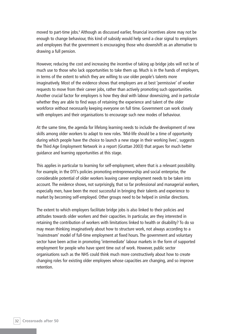moved to part-time jobs.<sup>8</sup> Although as discussed earlier, financial incentives alone may not be enough to change behaviour, this kind of subsidy would help send a clear signal to employers and employees that the government is encouraging those who downshift as an alternative to drawing a full pension.

However, reducing the cost and increasing the incentive of taking up bridge jobs will not be of much use to those who lack opportunities to take them up. Much is in the hands of employers, in terms of the extent to which they are willing to use older people's talents more imaginatively. Most of the evidence shows that employers are at best 'permissive' of worker requests to move from their career jobs, rather than actively promoting such opportunities. Another crucial factor for employers is how they deal with labour downsizing, and in particular whether they are able to find ways of retaining the experience and talent of the older workforce without necessarily keeping everyone on full time. Government can work closely with employers and their organisations to encourage such new modes of behaviour.

At the same time, the agenda for lifelong learning needs to include the development of new skills among older workers to adapt to new roles. 'Mid-life should be a time of opportunity during which people have the choice to launch a new stage in their working lives', suggests the Third Age Employment Network in a report (Grattan 2003) that argues for much better guidance and learning opportunities at this stage.

This applies in particular to learning for self-employment, where that is a relevant possibility. For example, in the DTI's policies promoting entrepreneurship and social enterprise, the considerable potential of older workers leaving career employment needs to be taken into account. The evidence shows, not surprisingly, that so far professional and managerial workers, especially men, have been the most successful in bringing their talents and experience to market by becoming self-employed. Other groups need to be helped in similar directions.

The extent to which employers facilitate bridge jobs is also linked to their policies and attitudes towards older workers and their capacities. In particular, are they interested in retaining the contribution of workers with limitations linked to health or disability? To do so may mean thinking imaginatively about how to structure work, not always according to a 'mainstream' model of full-time employment at fixed hours. The government and voluntary sector have been active in promoting 'intermediate' labour markets in the form of supported employment for people who have spent time out of work. However, public sector organisations such as the NHS could think much more constructively about how to create changing roles for existing older employees whose capacities are changing, and so improve retention.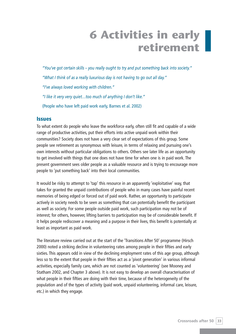# **6 Activities in early retirement**

*"You've got certain skills – you really ought to try and put something back into society." "What I think of as a really luxurious day is not having to go out all day." "I've always loved working with children." "I like it very very quiet…too much of anything I don't like."* (People who have left paid work early, Barnes et al. 2002)

#### **Issues**

To what extent do people who leave the workforce early, often still fit and capable of a wide range of productive activities, put their efforts into active unpaid work within their communities? Society does not have a very clear set of expectations of this group. Some people see retirement as synonymous with leisure, in terms of relaxing and pursuing one's own interests without particular obligations to others. Others see later life as an opportunity to get involved with things that one does not have time for when one is in paid work. The present government sees older people as a valuable resource and is trying to encourage more people to 'put something back' into their local communities.

It would be risky to attempt to 'tap' this resource in an apparently 'exploitative' way, that takes for granted the unpaid contributions of people who in many cases have painful recent memories of being edged or forced out of paid work. Rather, an opportunity to participate actively in society needs to be seen as something that can potentially benefit the participant as well as society. For some people outside paid work, such participation may not be of interest; for others, however, lifting barriers to participation may be of considerable benefit. If it helps people rediscover a meaning and a purpose in their lives, this benefit is potentially at least as important as paid work.

The literature review carried out at the start of the 'Transitions After 50' programme (Hirsch 2000) noted a striking decline in volunteering rates among people in their fifties and early sixties. This appears odd in view of the declining employment rates of this age group, although less so to the extent that people in their fifties act as a 'pivot generation' in various informal activities, especially family care, which are not counted as 'volunteering' (see Mooney and Statham 2002, and Chapter 3 above). It is not easy to develop an overall characterisation of what people in their fifties are doing with their time, because of the heterogeneity of the population and of the types of activity (paid work, unpaid volunteering, informal care, leisure, etc.) in which they engage.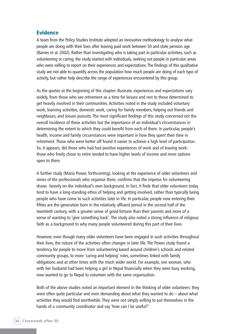#### **Evidence**

A team from the Policy Studies Institute adopted an innovative methodology to analyse what people are doing with their lives after leaving paid work between 50 and state pension age (Barnes et al. 2002). Rather than investigating who is taking part in particular activities, such as volunteering or caring, the study started with individuals, seeking out people in particular areas who were willing to report on their experiences and expectations. The findings of this qualitative study are not able to quantify across the population how much people are doing of each type of activity, but rather help describe the range of experiences encountered by this group.

As the quotes at the beginning of this chapter illustrate, experiences and expectations vary widely, from those who see retirement as a time for leisure and rest to those determined to get heavily involved in their communities. Activities noted in the study included voluntary work, learning activities, domestic work, caring for family members, helping out friends and neighbours, and leisure pursuits. The most significant findings of this study concerned not the overall incidence of these activities but the importance of an individual's circumstances in determining the extent to which they could benefit from each of them. In particular, people's health, income and family circumstances were important in how they spent their time in retirement. Those who were better off found it easier to achieve a high level of participation. So, it appears, did those who had had positive experiences of work and of leaving work: those who freely chose to retire tended to have higher levels of income and more options open to them.

A further study (Maria Power, forthcoming), looking at the experience of older volunteers and views of the professionals who organise them, confirms that the impetus for volunteering draws heavily on the individual's own background. In fact, it finds that older volunteers today tend to have a long-standing ethos of helping and getting involved, rather than typically being people who have come to such activities later in life. In particular, people now entering their fifties are the generation born in the relatively affluent period in the second half of the twentieth century, with a greater sense of good-fortune than their parents and more of a sense of wanting to 'give something back'. The study also noted a strong influence of religious faith as a background to why many people volunteered during this part of their lives.

However, even though many older volunteers have been engaged in such activities throughout their lives, the nature of the activities often changes in later life. The Power study found a tendency for people to move from volunteering based around children's schools and related community groups, to more 'caring and helping' roles, sometimes linked with family obligations and at other times with the much wider world. For example, one woman, who with her husband had been helping a girl in Nepal financially when they were busy working, now wanted to go to Nepal to volunteer with the same organisation.

Both of the above studies noted an important element in the thinking of older volunteers: they were often quite particular and even demanding about what they wanted to do – about what activities they would find worthwhile. They were not simply willing to put themselves in the hands of a community coordinator and say 'how can I be useful?'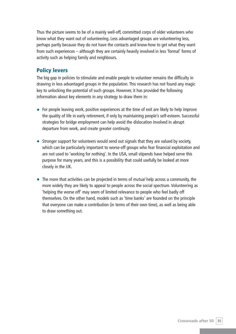Thus the picture seems to be of a mainly well-off, committed corps of older volunteers who know what they want out of volunteering. Less advantaged groups are volunteering less, perhaps partly because they do not have the contacts and know-how to get what they want from such experiences – although they are certainly heavily involved in less 'formal' forms of activity such as helping family and neighbours.

# **Policy levers**

The big gap in policies to stimulate and enable people to volunteer remains the difficulty in drawing in less advantaged groups in the population. This research has not found any magic key to unlocking the potential of such groups. However, it has provided the following information about key elements in any strategy to draw them in:

- For people leaving work, positive experiences at the time of exit are likely to help improve the quality of life in early retirement, if only by maintaining people's self-esteem. Successful strategies for bridge employment can help avoid the dislocation involved in abrupt departure from work, and create greater continuity.
- Stronger support for volunteers would send out signals that they are valued by society, which can be particularly important to worse-off groups who fear financial exploitation and are not used to 'working for nothing'. In the USA, small stipends have helped serve this purpose for many years, and this is a possibility that could usefully be looked at more closely in the UK.
- The more that activities can be projected in terms of *mutual* help across a community, the more widely they are likely to appeal to people across the social spectrum. Volunteering as 'helping the worse off' may seem of limited relevance to people who feel badly off themselves. On the other hand, models such as 'time banks' are founded on the principle that everyone can make a contribution (in terms of their own time), as well as being able to draw something out.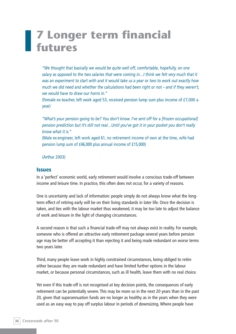# **7 Longer term financial futures**

*"We thought that basically we would be quite well off, comfortable, hopefully, on one salary as opposed to the two salaries that were coming in…I think we felt very much that it was an experiment to start with and it would take us a year or two to work out exactly how much we did need and whether the calculations had been right or not – and if they weren't, we would have to draw our horns in."* 

(Female ex-teacher, left work aged 53, received pension lump sum plus income of £7,000 a year)

*"What's your pension going to be? You don't know. I've sent off for a [frozen occupational] pension prediction but it's still not real…Until you've got it in your pocket you don't really know what it is."* 

(Male ex-engineer, left work aged 61, no retirement income of own at the time, wife had pension lump sum of £46,000 plus annual income of £15,000)

(Arthur 2003)

#### **Issues**

In a 'perfect' economic world, early retirement would involve a conscious trade-off between income and leisure time. In practice, this often does not occur, for a variety of reasons.

One is uncertainty and lack of information: people simply do not always know what the longterm effect of retiring early will be on their living standards in later life. Once the decision is taken, and ties with the labour market thus weakened, it may be too late to adjust the balance of work and leisure in the light of changing circumstances.

A second reason is that such a financial trade-off may not always exist in reality. For example, someone who is offered an attractive early retirement package several years before pension age may be better off accepting it than rejecting it and being made redundant on worse terms two years later.

Third, many people leave work in highly constrained circumstances, being obliged to retire either because they are made redundant and have limited further options in the labour market, or because personal circumstances, such as ill health, leave them with no real choice.

Yet even if this trade-off is not recognised at key decision points, the consequences of early retirement can be potentially severe. This may be more so in the next 20 years than in the past 20, given that superannuation funds are no longer as healthy as in the years when they were used as an easy way to pay off surplus labour in periods of downsizing. Where people have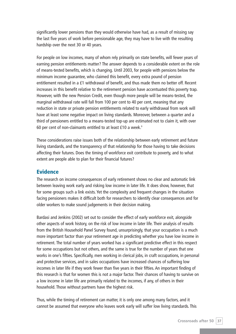significantly lower pensions than they would otherwise have had, as a result of missing say the last five years of work before pensionable age, they may have to live with the resulting hardship over the next 30 or 40 years.

For people on low incomes, many of whom rely primarily on state benefits, will fewer years of earning pension entitlements matter? The answer depends to a considerable extent on the role of means-tested benefits, which is changing. Until 2003, for people with pensions below the minimum income guarantee, who claimed this benefit, every extra pound of pension entitlement resulted in a £1 withdrawal of benefit, and thus made them no better off. Recent increases in this benefit relative to the retirement pension have accentuated this poverty trap. However, with the new Pension Credit, even though more people will be means-tested, the marginal withdrawal rate will fall from 100 per cent to 40 per cent, meaning that any reduction in state or private pension entitlements related to early withdrawal from work will have at least some negative impact on living standards. Moreover, between a quarter and a third of pensioners entitled to a means-tested top-up are estimated not to claim it, with over 60 per cent of non-claimants entitled to at least £10 a week.<sup>9</sup>

These considerations raise issues both of the relationship between early retirement and future living standards, and the transparency of that relationship for those having to take decisions affecting their futures. Does the timing of workforce exit contribute to poverty, and to what extent are people able to plan for their financial futures?

#### **Evidence**

The research on income consequences of early retirement shows no clear and automatic link between leaving work early and risking low income in later life. It does show, however, that for some groups such a link exists. Yet the complexity and frequent changes in the situation facing pensioners makes it difficult both for researchers to identify clear consequences and for older workers to make sound judgements in their decision making.

Bardasi and Jenkins (2002) set out to consider the effect of early workforce exit, alongside other aspects of work history, on the risk of low income in later life. Their analysis of results from the British Household Panel Survey found, unsurprisingly, that your occupation is a much more important factor than your retirement age in predicting whether you have low income in retirement. The total number of years worked has a significant predictive effect in this respect for some occupations but not others, and the same is true for the number of years that one works in one's fifties. Specifically, men working in clerical jobs, in craft occupations, in personal and protective services, and in sales occupations have increased chances of suffering low incomes in later life if they work fewer than five years in their fifties. An important finding of this research is that for women this is not a major factor. Their chances of having to survive on a low income in later life are primarily related to the incomes, if any, of others in their household. Those without partners have the highest risk.

Thus, while the timing of retirement can matter, it is only one among many factors, and it cannot be assumed that everyone who leaves work early will suffer low living standards. This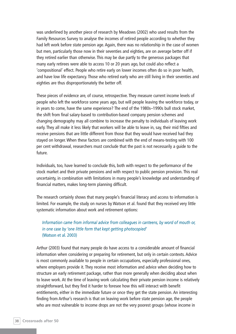was underlined by another piece of research by Meadows (2002) who used results from the Family Resources Survey to analyse the incomes of retired people according to whether they had left work before state pension age. Again, there was no relationship in the case of women but men, particularly those now in their seventies and eighties, are on average better off if they retired earlier than otherwise. This may be due partly to the generous packages that many early retirees were able to access 10 or 20 years ago, but could also reflect a 'compositional' effect. People who retire early on lower incomes often do so in poor health, and have low life expectancy. Those who retired early who are still living in their seventies and eighties are thus disproportionately the better off.

These pieces of evidence are, of course, retrospective. They measure current income levels of people who left the workforce some years ago, but will people leaving the workforce today, or in years to come, have the same experience? The end of the 1980s–1990s bull stock market, the shift from final salary-based to contribution-based company pension schemes and changing demography may all combine to increase the penalty to individuals of leaving work early. They all make it less likely that workers will be able to leave in, say, their mid fifties and receive pensions that are little different from those that they would have received had they stayed on longer. When these factors are combined with the end of means-testing with 100 per cent withdrawal, researchers must conclude that the past is not necessarily a guide to the future.

Individuals, too, have learned to conclude this, both with respect to the performance of the stock market and their private pensions and with respect to public pension provision. This real uncertainty, in combination with limitations in many people's knowledge and understanding of financial matters, makes long-term planning difficult.

The research certainly shows that many people's financial literacy and access to information is limited. For example, the study on nurses by Watson et al. found that they received very little systematic information about work and retirement options:

#### *Information came from informal advice from colleagues in canteens, by word of mouth or, in one case by 'one little form that kept getting photocopied'* (Watson et al. 2003)

Arthur (2003) found that many people do have access to a considerable amount of financial information when considering or preparing for retirement, but only in certain contexts. Advice is most commonly available to people in certain occupations, especially professional ones, where employers provide it. They receive most information and advice when deciding how to structure an early retirement package, rather than more generally when deciding about when to leave work. At the time of leaving work calculating their private pension income is relatively straightforward, but they find it harder to foresee how this will interact with benefit entitlements, either in the immediate future or once they get the state pension. An interesting finding from Arthur's research is that on leaving work before state pension age, the people who are most vulnerable to income drops are not the very poorest groups (whose income in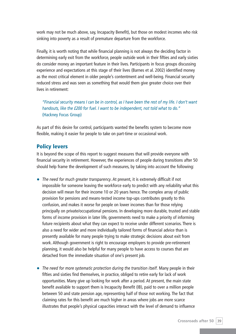work may not be much above, say, Incapacity Benefit), but those on modest incomes who risk sinking into poverty as a result of premature departure from the workforce.

Finally, it is worth noting that while financial planning is not always the deciding factor in determining early exit from the workforce, people outside work in their fifties and early sixties do consider money an important feature in their lives. Participants in focus groups discussing experience and expectations at this stage of their lives (Barnes et al. 2002) identified money as the most critical element in older people's contentment and well-being. Financial security reduced stress and was seen as something that would them give greater choice over their lives in retirement:

*"Financial security means I can be in control, as I have been the rest of my life. I don't want handouts, like the £200 for fuel. I want to be independent, not told what to do."*  (Hackney Focus Group)

As part of this desire for control, participants wanted the benefits system to become more flexible, making it easier for people to take on part-time or occasional work.

### **Policy levers**

It is beyond the scope of this report to suggest measures that will provide everyone with financial security in retirement. However, the experiences of people during transitions after 50 should help frame the development of such measures, by taking into account the following:

- *The need for much greater transparency*. At present, it is extremely difficult if not impossible for someone leaving the workforce early to predict with any reliability what this decision will mean for their income 10 or 20 years hence. The complex array of public provision for pensions and means-tested income top-ups contributes greatly to this confusion, and makes it worse for people on lower incomes than for those relying principally on private/occupational pensions. In developing more durable, trusted and stable forms of income provision in later life, governments need to make a priority of informing future recipients about what they can expect to receive under different scenarios. There is also a need for wider and more individually tailored forms of financial advice than is presently available for many people trying to make strategic decisions about exit from work. Although government is right to encourage employers to provide pre-retirement planning, it would also be helpful for many people to have access to courses that are detached from the immediate situation of one's present job.
- *The need for more systematic protection during the transition itself.* Many people in their fifties and sixties find themselves, in practice, obliged to retire early for lack of work opportunities. Many give up looking for work after a period. At present, the main state benefit available to support them is Incapacity Benefit (IB), paid to over a million people between 50 and state pension age, representing half of those not working. The fact that claiming rates for this benefit are much higher in areas where jobs are more scarce illustrates that people's physical capacities interact with the level of demand to influence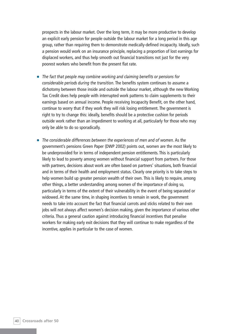prospects in the labour market. Over the long term, it may be more productive to develop an explicit early pension for people outside the labour market for a long period in this age group, rather than requiring them to demonstrate medically-defined incapacity. Ideally, such a pension would work on an insurance principle, replacing a proportion of lost earnings for displaced workers, and thus help smooth out financial transitions not just for the very poorest workers who benefit from the present flat rate.

- *The fact that people may combine working and claiming benefits or pensions for considerable periods during the transition*. The benefits system continues to assume a dichotomy between those inside and outside the labour market, although the new Working Tax Credit does help people with interrupted work patterns to claim supplements to their earnings based on annual income. People receiving Incapacity Benefit, on the other hand, continue to worry that if they work they will risk losing entitlement. The government is right to try to change this: ideally, benefits should be a protective cushion for periods outside work rather than an impediment to working at all, particularly for those who may only be able to do so sporadically.
- *The considerable differences between the experiences of men and of women.* As the government's pensions Green Paper (DWP 2002) points out, women are the most likely to be underprovided for in terms of independent pension entitlements. This is particularly likely to lead to poverty among women without financial support from partners. For those with partners, decisions about work are often based on partners' situations, both financial and in terms of their health and employment status. Clearly one priority is to take steps to help women build up greater pension wealth of their own. This is likely to require, among other things, a better understanding among women of the importance of doing so, particularly in terms of the extent of their vulnerability in the event of being separated or widowed. At the same time, in shaping incentives to remain in work, the government needs to take into account the fact that financial carrots and sticks related to their own jobs will not always affect women's decision making, given the importance of various other criteria. Thus a general caution against introducing financial incentives that penalise workers for making early exit decisions that they will continue to make regardless of the incentive, applies in particular to the case of women.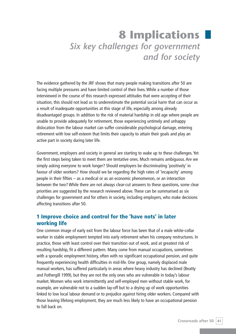# **8 Implications** *Six key challenges for government and for society*

The evidence gathered by the JRF shows that many people making transitions after 50 are facing multiple pressures and have limited control of their lives. While a number of those interviewed in the course of this research expressed attitudes that were accepting of their situation, this should not lead us to underestimate the potential social harm that can occur as a result of inadequate opportunities at this stage of life, especially among already disadvantaged groups. In addition to the risk of material hardship in old age where people are unable to provide adequately for retirement, those experiencing untimely and unhappy dislocation from the labour market can suffer considerable psychological damage, entering retirement with low self-esteem that limits their capacity to attain their goals and play an active part in society during later life.

Government, employers and society in general are starting to wake up to these challenges. Yet the first steps being taken to meet them are tentative ones. Much remains ambiguous. Are we simply asking everyone to work longer? Should employers be discriminating 'positively' in favour of older workers? How should we be regarding the high rates of 'incapacity' among people in their fifties – as a medical or as an economic phenomenon, or an interaction between the two? While there are not always clear-cut answers to these questions, some clear priorities are suggested by the research reviewed above. These can be summarised as six challenges for government and for others in society, including employers, who make decisions affecting transitions after 50.

# **1 Improve choice and control for the 'have nots' in later working life**

One common image of early exit from the labour force has been that of a male white-collar worker in stable employment tempted into early retirement when his company restructures. In practice, those with least control over their transition out of work, and at greatest risk of resulting hardship, fit a different pattern. Many come from manual occupations, sometimes with a sporadic employment history, often with no significant occupational pension, and quite frequently experiencing health difficulties in mid-life. One group, namely displaced male manual workers, has suffered particularly in areas where heavy industry has declined (Beatty and Fothergill 1999), but they are not the only ones who are vulnerable in today's labour market. Women who work intermittently and self-employed men without stable work, for example, are vulnerable not to a sudden lay-off but to a drying up of work opportunities linked to low local labour demand or to prejudice against hiring older workers. Compared with those leaving lifelong employment, they are much less likely to have an occupational pension to fall back on.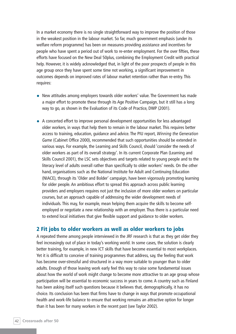In a market economy there is no single straightforward way to improve the position of those in the weakest position in the labour market. So far, much government emphasis (under its welfare reform programme) has been on measures providing assistance and incentives for people who have spent a period out of work to re-enter employment. For the over fifties, these efforts have focused on the New Deal 50plus, combining the Employment Credit with practical help. However, it is widely acknowledged that, in light of the poor prospects of people in this age group once they have spent some time not working, a significant improvement in outcomes depends on improved rates of labour market retention rather than re-entry. This requires:

- New attitudes among employers towards older workers' value. The Government has made a major effort to promote these through its Age Positive Campaign, but it still has a long way to go, as shown in the Evaluation of its Code of Practice, DWP (2001).
- A concerted effort to improve personal development opportunities for less advantaged older workers, in ways that help them to remain in the labour market. This requires better access to training, education, guidance and advice. The PIU report, *Winning the Generation Game* (Cabinet Office 2000), recommended that such opportunities should be extended in various ways. For example, the Learning and Skills Council, should 'consider the needs of older workers as part of its overall strategy'. In its current Corporate Plan (Learning and Skills Council 2001), the LSC sets objectives and targets related to young people and to the literacy level of adults overall rather than specifically to older workers' needs. On the other hand, organisations such as the National Institute for Adult and Continuing Education (NIACE), through its 'Older and Bolder' campaign, have been vigorously promoting learning for older people. An ambitious effort to spread this approach across public learning providers and employers requires not just the inclusion of more older workers on particular courses, but an approach capable of addressing the wider development needs of individuals. This may, for example, mean helping them acquire the skills to become selfemployed or negotiate a new relationship with an employer. Thus there is a particular need to extend local initiatives that give flexible support and guidance to older workers.

### **2 Fit jobs to older workers as well as older workers to jobs**

A repeated theme among people interviewed in the JRF research is that as they get older they feel increasingly out of place in today's working world. In some cases, the solution is clearly better training, for example, in new ICT skills that have become essential to most workplaces. Yet it is difficult to conceive of training programmes that address, say, the feeling that work has become over-stressful and structured in a way more suitable to younger than to older adults. Enough of those leaving work early feel this way to raise some fundamental issues about how the world of work might change to become more attractive to an age group whose participation will be essential to economic success in years to come. A country such as Finland has been asking itself such questions because it believes that, demographically, it has no choice. Its conclusion has been that firms have to change in ways that promote occupational health and work-life balance to ensure that working remains an attractive option for longer than it has been for many workers in the recent past (see Taylor 2002).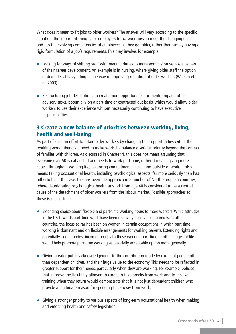What does it mean to fit jobs to older workers? The answer will vary according to the specific situation; the important thing is for employers to *consider* how to meet the changing needs and tap the evolving competencies of employees as they get older, rather than simply having a rigid formulation of a job's requirements. This may involve, for example:

- Looking for ways of shifting staff with manual duties to more administrative posts as part of their career development. An example is in nursing, where giving older staff the option of doing less heavy lifting is one way of improving retention of older workers (Watson et al. 2003).
- Restructuring job descriptions to create more opportunities for mentoring and other advisory tasks, potentially on a part-time or contracted out basis, which would allow older workers to use their experience without necessarily continuing to have executive responsibilities.

# **3 Create a new balance of priorities between working, living, health and well-being**

As part of such an effort to retain older workers by changing their opportunities within the working world, there is a need to make work-life balance a serious priority beyond the context of families with children. As discussed in Chapter 4, this does not mean assuming that everyone over 50 is exhausted and needs to work part-time; rather it means giving more choice throughout working life, balancing commitments inside and outside of work. It also means taking occupational health, including psychological aspects, far more seriously than has hitherto been the case. This has been the approach in a number of North European countries, where deteriorating psychological health at work from age 40 is considered to be a central cause of the detachment of older workers from the labour market. Possible approaches to these issues include:

- Extending choice about flexible and part-time working hours to more workers. While attitudes in the UK towards part-time work have been relatively positive compared with other countries, the focus so far has been on women in certain occupations in which part-time working is dominant and on flexible arrangements for working parents. Extending rights and, potentially, some modest income top-ups to those working part-time at other stages of life would help promote part-time working as a socially acceptable option more generally.
- Giving greater public acknowledgement to the contribution made by carers of people other than dependent children, and their huge value to the economy. This needs to be reflected in greater support for their needs, particularly when they are working. For example, policies that improve the flexibility allowed to carers to take breaks from work and to receive training when they return would demonstrate that it is not just dependent children who provide a legitimate reason for spending time away from work.
- Giving a stronger priority to various aspects of long-term occupational health when making and enforcing health and safety legislation.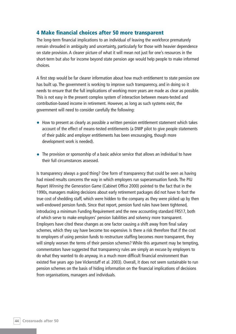# **4 Make financial choices after 50 more transparent**

The long-term financial implications to an individual of leaving the workforce prematurely remain shrouded in ambiguity and uncertainty, particularly for those with heavier dependence on state provision. A clearer picture of what it will mean not just for one's resources in the short-term but also for income beyond state pension age would help people to make informed choices.

A first step would be far clearer information about how much entitlement to state pension one has built up. The government is working to improve such transparency, and in doing so it needs to ensure that the full implications of working more years are made as clear as possible. This is not easy in the present complex system of interaction between means-tested and contribution-based income in retirement. However, as long as such systems exist, the government will need to consider carefully the following:

- How to present as clearly as possible a written pension entitlement statement which takes account of the effect of means-tested entitlements (a DWP pilot to give people statements of their public and employer entitlements has been encouraging, though more development work is needed).
- The provision or sponsorship of a basic advice service that allows an individual to have their full circumstances assessed.

Is transparency always a good thing? One form of transparency that could be seen as having had mixed results concerns the way in which employers run superannuation funds. The PIU Report *Winning the Generation Game* (Cabinet Office 2000) pointed to the fact that in the 1990s, managers making decisions about early retirement packages did not have to foot the true cost of shedding staff, which were hidden to the company as they were picked up by then well-endowed pension funds. Since that report, pension fund rules have been tightened, introducing a minimum Funding Requirement and the new accounting standard FRS17, both of which serve to make employers' pension liabilities and solvency more transparent. Employers have cited these changes as one factor causing a shift away from final salary schemes, which they say have become too expensive. Is there a risk therefore that if the cost to employers of using pension funds to restructure staffing becomes more transparent, they will simply worsen the terms of their pension schemes? While this argument may be tempting, commentators have suggested that transparency rules are simply an excuse by employers to do what they wanted to do anyway, in a much more difficult financial environment than existed five years ago (see Vickerstaff et al. 2003). Overall, it does not seem sustainable to run pension schemes on the basis of hiding information on the financial implications of decisions from organisations, managers and individuals.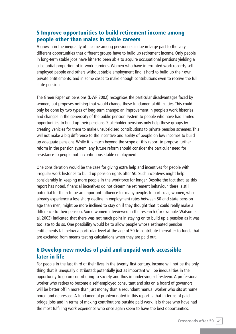# **5 Improve opportunities to build retirement income among people other than males in stable careers**

A growth in the inequality of income among pensioners is due in large part to the very different opportunities that different groups have to build up retirement income. Only people in long-term stable jobs have hitherto been able to acquire occupational pensions yielding a substantial proportion of in-work earnings. Women who have interrupted work records, selfemployed people and others without stable employment find it hard to build up their own private entitlements, and in some cases to make enough contributions even to receive the full state pension.

The Green Paper on pensions (DWP 2002) recognises the particular disadvantages faced by women, but proposes nothing that would change these fundamental difficulties. This could only be done by two types of long-term change: an improvement in people's work histories and changes in the generosity of the public pension system to people who have had limited opportunities to build up their pensions. Stakeholder pensions only help these groups by creating vehicles for them to make unsubsidised contributions to private pension schemes. This will not make a big difference to the incentive and ability of people on low incomes to build up adequate pensions. While it is much beyond the scope of this report to propose further reform in the pension system, any future reform should consider the particular need for assistance to people not in continuous stable employment.

One consideration would be the case for giving extra help and incentives for people with irregular work histories to build up pension rights after 50. Such incentives might help considerably in keeping more people in the workforce for longer. Despite the fact that, as this report has noted, financial incentives do not determine retirement behaviour, there is still potential for them to be an important influence for many people. In particular, women, who already experience a less sharp decline in employment rates between 50 and state pension age than men, might be more inclined to stay on if they thought that it could really make a difference to their pension. Some women interviewed in the research (for example, Watson et al. 2003) indicated that there was not much point in staying on to build up a pension as it was too late to do so. One possibility would be to allow people whose estimated pension entitlements fall below a particular level at the age of 50 to contribute thereafter to funds that are excluded from means-testing calculations when they are paid out.

# **6 Develop new modes of paid and unpaid work accessible later in life**

For people in the last third of their lives in the twenty-first century, income will not be the only thing that is unequally distributed: potentially just as important will be inequalities in the opportunity to go on contributing to society and thus in underlying self-esteem. A professional worker who retires to become a self-employed consultant and sits on a board of governors will be better off in more than just money than a redundant manual worker who sits at home bored and depressed. A fundamental problem noted in this report is that in terms of paid bridge jobs and in terms of making contributions outside paid work, it is those who have had the most fulfilling work experience who once again seem to have the best opportunities.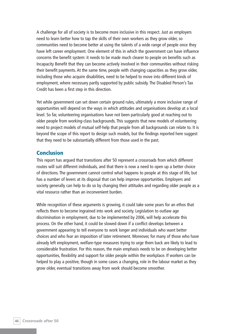A challenge for all of society is to become more inclusive in this respect. Just as employers need to learn better how to tap the skills of their own workers as they grow older, so communities need to become better at using the talents of a wide range of people once they have left career employment. One element of this in which the government can have influence concerns the benefit system: it needs to be made much clearer to people on benefits such as Incapacity Benefit that they can become actively involved in their communities without risking their benefit payments. At the same time, people with changing capacities as they grow older, including those who acquire disabilities, need to be helped to move into different kinds of employment, where necessary partly supported by public subsidy. The Disabled Person's Tax Credit has been a first step in this direction.

Yet while government can set down certain ground rules, ultimately a more inclusive range of opportunities will depend on the ways in which attitudes and organisations develop at a local level. So far, volunteering organisations have not been particularly good at reaching out to older people from working-class backgrounds. This suggests that new models of volunteering need to project models of mutual self-help that people from all backgrounds can relate to. It is beyond the scope of this report to design such models, but the findings reported here suggest that they need to be substantially different from those used in the past.

#### **Conclusion**

This report has argued that transitions after 50 represent a crossroads from which different routes will suit different individuals, and that there is now a need to open up a better choice of directions. The government cannot control what happens to people at this stage of life, but has a number of levers at its disposal that can help improve opportunities. Employers and society generally can help to do so by changing their attitudes and regarding older people as a vital resource rather than an inconvenient burden.

While recognition of these arguments is growing, it could take some years for an ethos that reflects them to become ingrained into work and society. Legislation to outlaw age discrimination in employment, due to be implemented by 2006, will help accelerate this process. On the other hand, it could be slowed down if a conflict develops between a government appearing to tell everyone to work longer and individuals who want better choices and who fear an imposition of later retirement. Moreover, for many of those who have already left employment, welfare-type measures trying to urge them back are likely to lead to considerable frustration. For this reason, the main emphasis needs to be on developing better opportunities, flexibility and support for older people within the workplace. If workers can be helped to play a positive, though in some cases a changing, role in the labour market as they grow older, eventual transitions away from work should become smoother.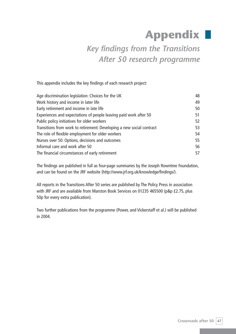# **Appendix**

# *Key findings from the Transitions After 50 research programme*

This appendix includes the key findings of each research project:

| Age discrimination legislation: Choices for the UK                    | 48 |
|-----------------------------------------------------------------------|----|
| Work history and income in later life                                 | 49 |
| Early retirement and income in late life                              | 50 |
| Experiences and expectations of people leaving paid work after 50     | 51 |
| Public policy initiatives for older workers                           | 52 |
| Transitions from work to retirement: Developing a new social contract | 53 |
| The role of flexible employment for older workers                     | 54 |
| Nurses over 50: Options, decisions and outcomes                       | 55 |
| Informal care and work after 50                                       |    |
| The financial circumstances of early retirement                       |    |

The findings are published in full as four-page summaries by the Joseph Rowntree Foundation, and can be found on the JRF website (http://www.jrf.org.uk/knowledge/findings/).

All reports in the Transitions After 50 series are published by The Policy Press in association with JRF and are available from Marston Book Services on 01235 465500 (p&p £2.75, plus 50p for every extra publication).

Two further publications from the programme (Power, and Vickerstaff et al.) will be published in 2004.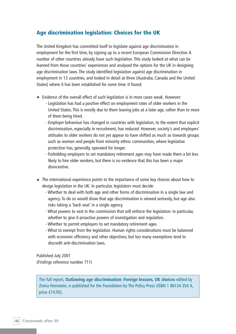## **Age discrimination legislation: Choices for the UK**

The United Kingdom has committed itself to legislate against age discrimination in employment for the first time, by signing up to a recent European Commission Directive. A number of other countries already have such legislation. This study looked at what can be learned from those countries' experiences and analysed the options for the UK in designing age discrimination laws. The study identified legislation against age discrimination in employment in 13 countries, and looked in detail at three (Australia, Canada and the United States) where it has been established for some time. It found:

- Evidence of the overall effect of such legislation is in most cases weak. However:
	- Legislation has had a positive effect on employment rates of older workers in the United States. This is mostly due to them leaving jobs at a later age, rather than to more of them being hired.
	- Employer behaviour has changed in countries with legislation, to the extent that explicit discrimination, especially in recruitment, has reduced. However, society's and employers' attitudes to older workers do not yet appear to have shifted as much as towards groups such as women and people from minority ethnic communities, where legislative protection has, generally, operated for longer.
	- Forbidding employers to set mandatory retirement ages may have made them a bit less likely to hire older workers, but there is no evidence that this has been a major disincentive.
- The international experience points to the importance of some key choices about how to design legislation in the UK. In particular, legislators must decide:
	- Whether to deal with both age and other forms of discrimination in a single law and agency. To do so would show that age discrimination is viewed seriously, but age also risks taking a 'back seat' in a single agency.
	- What powers to vest in the commission that will enforce the legislation: in particular, whether to give it proactive powers of investigation and regulation.
	- Whether to permit employers to set mandatory retirement ages.
	- What to exempt from the legislation. Human rights considerations must be balanced with economic efficiency and other objectives; but too many exemptions tend to discredit anti-discrimination laws.

Published July 2001 (*Findings* reference number 711)

The full report, **Outlawing age discrimination: Foreign lessons, UK choices** edited by Zmira Hornstein, is published for the Foundation by The Policy Press (ISBN 1 86134 354 X, price £14.95).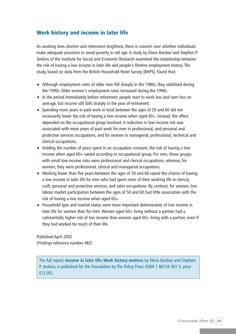# **Work history and income in later life**

As working lives shorten and retirement lengthens, there is concern over whether individuals make adequate provision to avoid poverty in old age. A study by Elena Bardasi and Stephen P. Jenkins of the Institute for Social and Economic Research examined the relationship between the risk of having a low income in later life and people's lifetime employment history. The study, based on data from the British Household Panel Survey (BHPS), found that:

- Although employment rates of older men fell sharply in the 1980s, they stabilised during the 1990s. Older women's employment rates increased during the 1990s.
- In the period immediately before retirement, people start to work less and earn less on average, but income still falls sharply in the year of retirement.
- Spending more years in paid work in total between the ages of 20 and 60 did not necessarily lower the risk of having a low income when aged 60+. Instead, the effect depended on the occupational group involved. A reduction in low-income risk was associated with more years of paid work for men in professional, and personal and protective services occupations, and for women in managerial, professional, technical and clerical occupations.
- Holding the number of years spent in an occupation constant, the risk of having a low income when aged 60+ varied according to occupational group. For men, those groups with small low-income risks were professional and clerical occupations, whereas, for women, they were professional, clerical and managerial occupations.
- Working fewer than five years between the ages of 50 and 60 raised the chance of having a low income in later life for men who had spent more of their working life in clerical, craft, personal and protective services, and sales occupations. By contrast, for women, low labour market participation between the ages of 50 and 60 had little association with the risk of having a low income when aged 60+.
- Household type and marital status were more important determinants of low income in later life for women than for men. Women aged 60+ living without a partner had a substantially higher risk of low income than women aged 60+ living with a partner, even if they had worked for much of their life.

Published April 2002 (*Findings* reference number 482)

The full report, **Income in later life: Work history matters** by Elena Bardasi and Stephen P. Jenkins, is published for the Foundation by The Policy Press (ISBN 1 86134 401 5, price £12.95).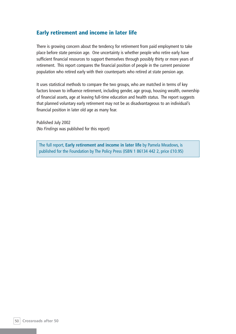## **Early retirement and income in later life**

There is growing concern about the tendency for retirement from paid employment to take place before state pension age. One uncertainty is whether people who retire early have sufficient financial resources to support themselves through possibly thirty or more years of retirement. This report compares the financial position of people in the current pensioner population who retired early with their counterparts who retired at state pension age.

It uses statistical methods to compare the two groups, who are matched in terms of key factors known to influence retirement, including gender, age group, housing wealth, ownership of financial assets, age at leaving full-time education and health status. The report suggests that planned voluntary early retirement may not be as disadvantageous to an individual's financial position in later old age as many fear.

Published July 2002 (No *Findings* was published for this report)

The full report, **Early retirement and income in later life** by Pamela Meadows, is published for the Foundation by The Policy Press (ISBN 1 86134 442 2, price £10.95)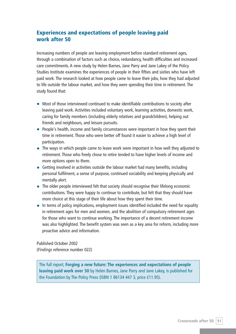# **Experiences and expectations of people leaving paid work after 50**

Increasing numbers of people are leaving employment before standard retirement ages, through a combination of factors such as choice, redundancy, health difficulties and increased care commitments. A new study by Helen Barnes, Jane Parry and Jane Lakey of the Policy Studies Institute examines the experiences of people in their fifties and sixties who have left paid work. The research looked at how people came to leave their jobs, how they had adjusted to life outside the labour market, and how they were spending their time in retirement. The study found that:

- Most of those interviewed continued to make identifiable contributions to society after leaving paid work. Activities included voluntary work, learning activities, domestic work, caring for family members (including elderly relatives and grandchildren), helping out friends and neighbours, and leisure pursuits.
- People's health, income and family circumstances were important in how they spent their time in retirement. Those who were better off found it easier to achieve a high level of participation.
- The ways in which people came to leave work were important in how well they adjusted to retirement. Those who freely chose to retire tended to have higher levels of income and more options open to them.
- Getting involved in activities outside the labour market had many benefits, including personal fulfilment, a sense of purpose, continued sociability and keeping physically and mentally alert.
- The older people interviewed felt that society should recognise their lifelong economic contributions. They were happy to continue to contribute, but felt that they should have more choice at this stage of their life about how they spent their time.
- In terms of policy implications, employment issues identified included the need for equality in retirement ages for men and women, and the abolition of compulsory retirement ages for those who want to continue working. The importance of a decent retirement income was also highlighted. The benefit system was seen as a key area for reform, including more proactive advice and information.

Published October 2002 (*Findings* reference number 022)

The full report, **Forging a new future: The experiences and expectations of people leaving paid work over 50** by Helen Barnes, Jane Parry and Jane Lakey, is published for the Foundation by The Policy Press (ISBN 1 86134 447 3, price £11.95).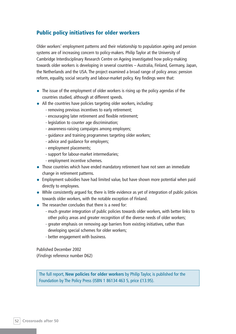# **Public policy initiatives for older workers**

Older workers' employment patterns and their relationship to population ageing and pension systems are of increasing concern to policy-makers. Philip Taylor at the University of Cambridge Interdisciplinary Research Centre on Ageing investigated how policy-making towards older workers is developing in several countries – Australia, Finland, Germany, Japan, the Netherlands and the USA. The project examined a broad range of policy areas: pension reform, equality, social security and labour-market policy. Key findings were that:

- The issue of the employment of older workers is rising up the policy agendas of the countries studied, although at different speeds.
- All the countries have policies targeting older workers, including:
	- removing previous incentives to early retirement;
	- encouraging later retirement and flexible retirement;
	- legislation to counter age discrimination;
	- awareness-raising campaigns among employers;
	- guidance and training programmes targeting older workers;
	- advice and guidance for employers;
	- employment placements;
	- support for labour-market intermediaries;
	- employment incentive schemes.
- Those countries which have ended mandatory retirement have not seen an immediate change in retirement patterns.
- Employment subsidies have had limited value, but have shown more potential when paid directly to employees.
- While consistently argued for, there is little evidence as yet of integration of public policies towards older workers, with the notable exception of Finland.
- The researcher concludes that there is a need for:
	- much greater integration of public policies towards older workers, with better links to other policy areas and greater recognition of the diverse needs of older workers;
	- greater emphasis on removing age barriers from existing initiatives, rather than developing special schemes for older workers;
	- better engagement with business.

Published December 2002 (*Findings* reference number D62)

The full report, **New policies for older workers** by Philip Taylor, is published for the Foundation by The Policy Press (ISBN 1 86134 463 5, price £13.95).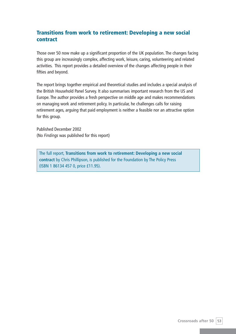# **Transitions from work to retirement: Developing a new social contract**

Those over 50 now make up a significant proportion of the UK population. The changes facing this group are increasingly complex, affecting work, leisure, caring, volunteering and related activities. This report provides a detailed overview of the changes affecting people in their fifties and beyond.

The report brings together empirical and theoretical studies and includes a special analysis of the British Household Panel Survey. It also summarises important research from the US and Europe. The author provides a fresh perspective on middle age and makes recommendations on managing work and retirement policy. In particular, he challenges calls for raising retirement ages, arguing that paid employment is neither a feasible nor an attractive option for this group.

Published December 2002 (No *Findings* was published for this report)

The full report, **Transitions from work to retirement: Developing a new social contract** by Chris Phillipson, is published for the Foundation by The Policy Press (ISBN 1 86134 457 0, price £11.95).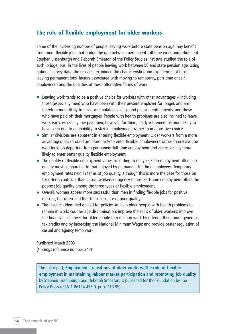## **The role of flexible employment for older workers**

Some of the increasing number of people leaving work before state pension age may benefit from more flexible jobs that bridge the gap between permanent full-time work and retirement. Stephen Lissenburgh and Deborah Smeaton of the Policy Studies Institute studied the role of such 'bridge jobs' in the lives of people leaving work between 50 and state pension age. Using national survey data, the research examined the characteristics and experiences of those leaving permanent jobs, factors associated with moving to temporary, part-time or selfemployment and the qualities of these alternative forms of work.

- Leaving work tends to be a positive choice for workers with other advantages including those (especially men) who have been with their present employer for longer, and are therefore more likely to have accumulated savings and pension entitlements, and those who have paid off their mortgages. People with health problems are also inclined to leave work early, especially low paid men; however, for them, 'early retirement' is more likely to have been due to an inability to stay in employment, rather than a positive choice.
- Similar divisions are apparent in entering flexible employment. Older workers from a more advantaged background are more likely to enter flexible employment rather than leave the workforce on departure from permanent full-time employment and are especially more likely to enter better quality flexible employment.
- The quality of flexible employment varies according to its type. Self-employment offers job quality most comparable to that enjoyed by permanent full-time employees. Temporary employment rates next in terms of job quality, although this is more the case for those on fixed-term contracts than casual workers or agency temps. Part-time employment offers the poorest job quality among the three types of flexible employment.
- Overall, women appear more successful than men in finding flexible jobs for positive reasons, but often find that these jobs are of poor quality.
- The research identified a need for policies to: help older people with health problems to remain in work; counter age discrimination; improve the skills of older workers; improve the financial incentives for older people to remain in work by offering them more generous tax credits and by increasing the National Minimum Wage; and provide better regulation of casual and agency temp work.

Published March 2003 (*Findings* reference number 343)

The full report, **Employment transitions of older workers: The role of flexible employment in maintaining labour market participation and promoting job quality** by Stephen Lissenburgh and Deborah Smeaton, is published for the Foundation by The Policy Press (ISBN 1 86134 475 9, price £13.95).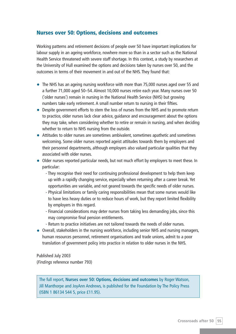### **Nurses over 50: Options, decisions and outcomes**

Working patterns and retirement decisions of people over 50 have important implications for labour supply in an ageing workforce, nowhere more so than in a sector such as the National Health Service threatened with severe staff shortage. In this context, a study by researchers at the University of Hull examined the options and decisions taken by nurses over 50, and the outcomes in terms of their movement in and out of the NHS. They found that:

- The NHS has an ageing nursing workforce with more than 75,000 nurses aged over 55 and a further 71,000 aged 50–54. Almost 10,000 nurses retire each year. Many nurses over 50 ('older nurses') remain in nursing in the National Health Service (NHS) but growing numbers take early retirement. A small number return to nursing in their fifties.
- Despite government efforts to stem the loss of nurses from the NHS and to promote return to practice, older nurses lack clear advice, guidance and encouragement about the options they may take, when considering whether to retire or remain in nursing, and when deciding whether to return to NHS nursing from the outside.
- Attitudes to older nurses are sometimes ambivalent, sometimes apathetic and sometimes welcoming. Some older nurses reported ageist attitudes towards them by employers and their personnel departments, although employers also valued particular qualities that they associated with older nurses.
- Older nurses reported particular needs, but not much effort by employers to meet these. In particular:
	- They recognise their need for continuing professional development to help them keep up with a rapidly changing service, especially when returning after a career break. Yet opportunities are variable, and not geared towards the specific needs of older nurses.
	- Physical limitations or family caring responsibilities mean that some nurses would like to have less heavy duties or to reduce hours of work, but they report limited flexibility by employers in this regard.
	- Financial considerations may deter nurses from taking less demanding jobs, since this may compromise final pension entitlements.
	- Return to practice initiatives are not tailored towards the needs of older nurses.
- Overall, stakeholders in the nursing workforce, including senior NHS and nursing managers, human resources personnel, retirement organisations and trade unions, admit to a poor translation of government policy into practice in relation to older nurses in the NHS.

Published July 2003 (*Findings* reference number 793)

The full report, **Nurses over 50: Options, decisions and outcomes** by Roger Watson, Jill Manthorpe and JoyAnn Andrews, is published for the Foundation by The Policy Press (ISBN 1 86134 544 5, price £11.95).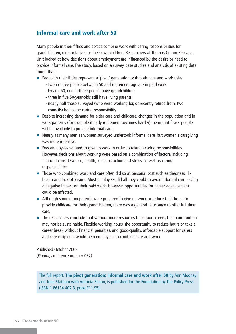## **Informal care and work after 50**

Many people in their fifties and sixties combine work with caring responsibilities for grandchildren, older relatives or their own children. Researchers at Thomas Coram Research Unit looked at how decisions about employment are influenced by the desire or need to provide informal care. The study, based on a survey, case studies and analysis of existing data, found that:

- People in their fifties represent a 'pivot' generation with both care and work roles:
	- two in three people between 50 and retirement age are in paid work;
	- by age 50, one in three people have grandchildren;
	- three in five 50-year-olds still have living parents;
	- nearly half those surveyed (who were working for, or recently retired from, two councils) had some caring responsibility.
- Despite increasing demand for elder care and childcare, changes in the population and in work patterns (for example if early retirement becomes harder) mean that fewer people will be available to provide informal care.
- Nearly as many men as women surveyed undertook informal care, but women's caregiving was more intensive.
- Few employees wanted to give up work in order to take on caring responsibilities. However, decisions about working were based on a combination of factors, including financial considerations, health, job satisfaction and stress, as well as caring responsibilities.
- Those who combined work and care often did so at personal cost such as tiredness, illhealth and lack of leisure. Most employees did all they could to avoid informal care having a negative impact on their paid work. However, opportunities for career advancement could be affected.
- Although some grandparents were prepared to give up work or reduce their hours to provide childcare for their grandchildren, there was a general reluctance to offer full-time care.
- The researchers conclude that without more resources to support carers, their contribution may not be sustainable. Flexible working hours, the opportunity to reduce hours or take a career break without financial penalties, and good-quality, affordable support for carers and care recipients would help employees to combine care and work.

Published October 2003 (*Findings* reference number 032)

The full report, **The pivot generation: Informal care and work after 50** by Ann Mooney and June Statham with Antonia Simon, is published for the Foundation by The Policy Press (ISBN 1 86134 402 3, price £11.95).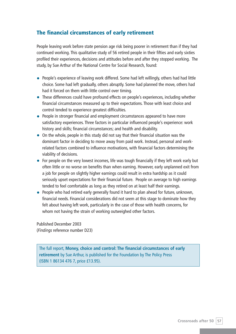# **The financial circumstances of early retirement**

People leaving work before state pension age risk being poorer in retirement than if they had continued working. This qualitative study of 56 retired people in their fifties and early sixties profiled their experiences, decisions and attitudes before and after they stopped working. The study, by Sue Arthur of the National Centre for Social Research, found:

- People's experience of leaving work differed. Some had left willingly, others had had little choice. Some had left gradually, others abruptly. Some had planned the move, others had had it forced on them with little control over timing.
- These differences could have profound effects on people's experiences, including whether financial circumstances measured up to their expectations. Those with least choice and control tended to experience greatest difficulties.
- People in stronger financial and employment circumstances appeared to have more satisfactory experiences. Three factors in particular influenced people's experience: work history and skills; financial circumstances; and health and disability.
- On the whole, people in this study did not say that their financial situation was the dominant factor in deciding to move away from paid work. Instead, personal and workrelated factors combined to influence motivations, with financial factors determining the viability of decisions.
- For people on the very lowest incomes, life was tough financially if they left work early but often little or no worse on benefits than when earning. However, early unplanned exit from a job for people on slightly higher earnings could result in extra hardship as it could seriously upset expectations for their financial future. People on average to high earnings tended to feel comfortable as long as they retired on at least half their earnings.
- People who had retired early generally found it hard to plan ahead for future, unknown, financial needs. Financial considerations did not seem at this stage to dominate how they felt about having left work, particularly in the case of those with health concerns, for whom not having the strain of working outweighed other factors.

Published December 2003 (*Findings* reference number D23)

The full report, **Money, choice and control: The financial circumstances of early retirement** by Sue Arthur, is published for the Foundation by The Policy Press (ISBN 1 86134 476 7, price £13.95).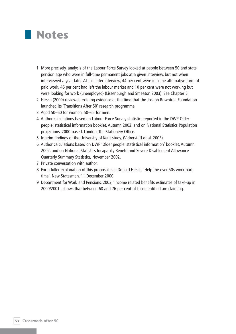

- 1 More precisely, analysis of the Labour Force Survey looked at people between 50 and state pension age who were in full-time permanent jobs at a given interview, but not when interviewed a year later. At this later interview, 44 per cent were in some alternative form of paid work, 46 per cent had left the labour market and 10 per cent were not working but were looking for work (unemployed) (Lissenburgh and Smeaton 2003). See Chapter 5.
- 2 Hirsch (2000) reviewed existing evidence at the time that the Joseph Rowntree Foundation launched its 'Transitions After 50' research programme.
- 3 Aged 50–60 for women, 50–65 for men.
- 4 Author calculations based on Labour Force Survey statistics reported in the DWP Older people: statistical information booklet, Autumn 2002, and on National Statistics Population projections, 2000-based, London: The Stationery Office.
- 5 Interim findings of the University of Kent study, (Vickerstaff et al. 2003).
- 6 Author calculations based on DWP 'Older people: statistical information' booklet, Autumn 2002, and on National Statistics Incapacity Benefit and Severe Disablement Allowance Quarterly Summary Statistics, November 2002.
- 7 Private conversation with author.
- 8 For a fuller explanation of this proposal, see Donald Hirsch, 'Help the over-50s work parttime', New Statesman, 11 December 2000
- 9 Department for Work and Pensions, 2003, 'Income related benefits estimates of take-up in 2000/2001', shows that between 68 and 76 per cent of those entitled are claiming.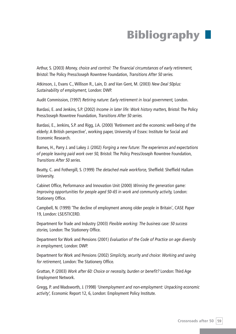# **Bibliography**

Arthur, S. (2003) *Money, choice and control: The financial circumstances of early retirement,* Bristol: The Policy Press/Joseph Rowntree Foundation, *Transitions After 50 series.*

Atkinson, J., Evans C., Willison R., Lain, D. and Van Gent, M. (2003) *New Deal 50plus: Sustainability of employment,* London: DWP.

Audit Commission, (1997) *Retiring nature: Early retirement in local government,* London.

Bardasi, E. and Jenkins, S.P. (2002) *Income in later life: Work history matters,* Bristol: The Policy Press/Joseph Rowntree Foundation, *Transitions After 50 series.*

Bardasi, E., Jenkins, S.P. and Rigg, J.A. (2000) 'Retirement and the economic well-being of the elderly: A British perspective', working paper, University of Essex: Institute for Social and Economic Research.

Barnes, H., Parry J. and Lakey J. (2002) *Forging a new future: The experiences and expectations of people leaving paid work over 50,* Bristol: The Policy Press/Joseph Rowntree Foundation, *Transitions After 50 series.*

Beatty, C. and Fothergill, S. (1999) *The detached male workforce,* Sheffield: Sheffield Hallam University.

Cabinet Office, Performance and Innovation Unit (2000) *Winning the generation game: Improving opportunities for people aged 50–65 in work and community activity, London:* Stationery Office.

Campbell, N. (1999) 'The decline of employment among older people in Britain', CASE Paper 19, London: LSE/STICERD.

Department for Trade and Industry (2003) *Flexible working: The business case: 50 success stories,* London: The Stationery Office.

Department for Work and Pensions (2001) *Evaluation of the Code of Practice on age diversity in employment,* London: DWP.

Department for Work and Pensions (2002) *Simplicity, security and choice: Working and saving for retirement,* London: The Stationery Office.

Grattan, P. (2003) *Work after 60: Choice or necessity, burden or benefit?* London: Third Age Employment Network.

Gregg, P. and Wadsworth, J. (1998) *'Unemployment and non-employment: Unpacking economic activity',* Economic Report 12, 6, London: Employment Policy Institute.